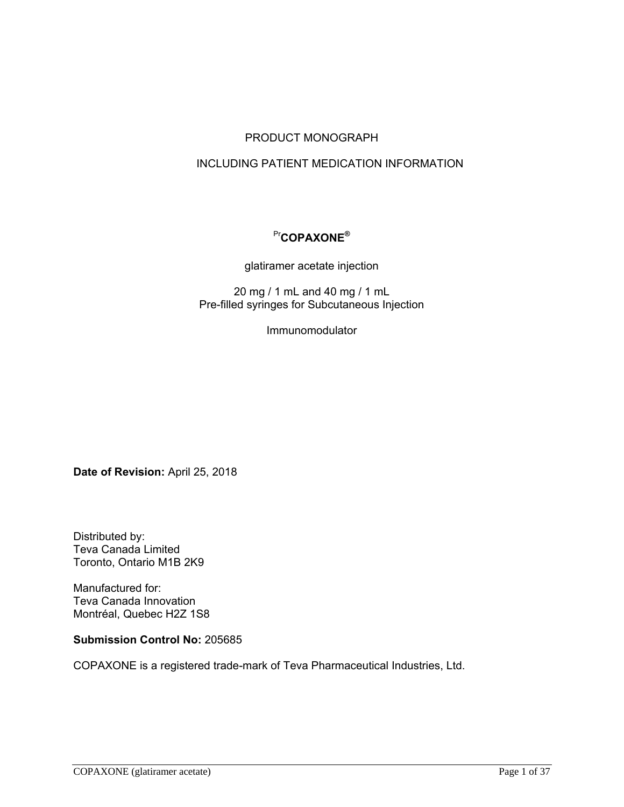## PRODUCT MONOGRAPH

## INCLUDING PATIENT MEDICATION INFORMATION

## Pr**COPAXONE®**

glatiramer acetate injection

20 mg / 1 mL and 40 mg / 1 mL Pre-filled syringes for Subcutaneous Injection

Immunomodulator

Date of Revision: April 25, 2018

Distributed by: Teva Canada Limited Toronto, Ontario M1B 2K9

Manufactured for: Teva Canada Innovation Montréal, Quebec H2Z 1S8

**Submission Control No:** 205685

COPAXONE is a registered trade-mark of Teva Pharmaceutical Industries, Ltd.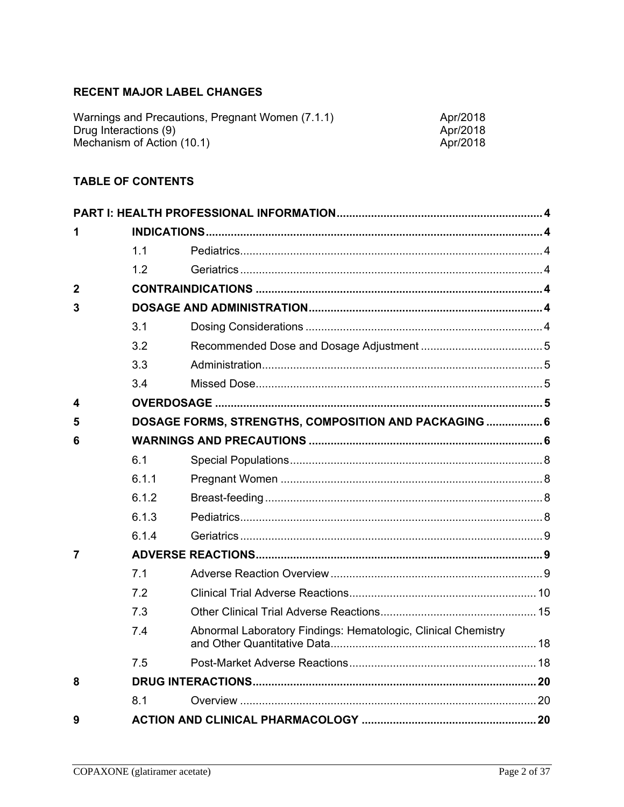# RECENT MAJOR LABEL CHANGES

| Warnings and Precautions, Pregnant Women (7.1.1) | Apr/2018 |
|--------------------------------------------------|----------|
| Drug Interactions (9)                            | Apr/2018 |
| Mechanism of Action (10.1)                       | Apr/2018 |

## **TABLE OF CONTENTS**

| 1              |       |                                                               |  |
|----------------|-------|---------------------------------------------------------------|--|
|                | 1.1   |                                                               |  |
|                | 1.2   |                                                               |  |
| $\overline{2}$ |       |                                                               |  |
| 3              |       |                                                               |  |
|                | 3.1   |                                                               |  |
|                | 3.2   |                                                               |  |
|                | 3.3   |                                                               |  |
|                | 3.4   |                                                               |  |
| 4              |       |                                                               |  |
| 5              |       | DOSAGE FORMS, STRENGTHS, COMPOSITION AND PACKAGING  6         |  |
| 6              |       |                                                               |  |
|                | 6.1   |                                                               |  |
|                | 6.1.1 |                                                               |  |
|                | 6.1.2 |                                                               |  |
|                | 6.1.3 |                                                               |  |
|                | 6.1.4 |                                                               |  |
| 7              |       |                                                               |  |
|                | 7.1   |                                                               |  |
|                | 7.2   |                                                               |  |
|                | 7.3   |                                                               |  |
|                | 7.4   | Abnormal Laboratory Findings: Hematologic, Clinical Chemistry |  |
|                | 7.5   |                                                               |  |
| 8              |       |                                                               |  |
|                | 8.1   |                                                               |  |
| 9              |       |                                                               |  |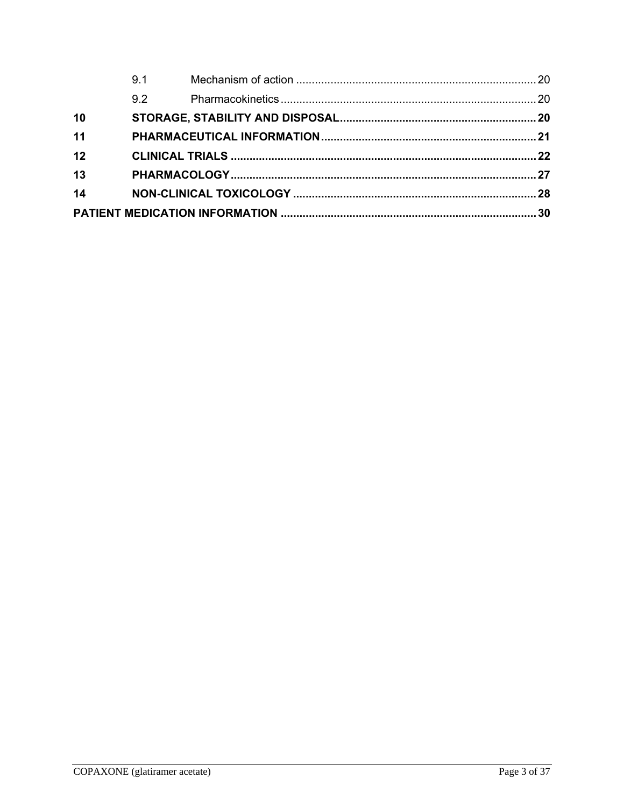|    | 9.1 |  |
|----|-----|--|
|    | 9.2 |  |
| 10 |     |  |
| 11 |     |  |
| 12 |     |  |
| 13 |     |  |
| 14 |     |  |
|    |     |  |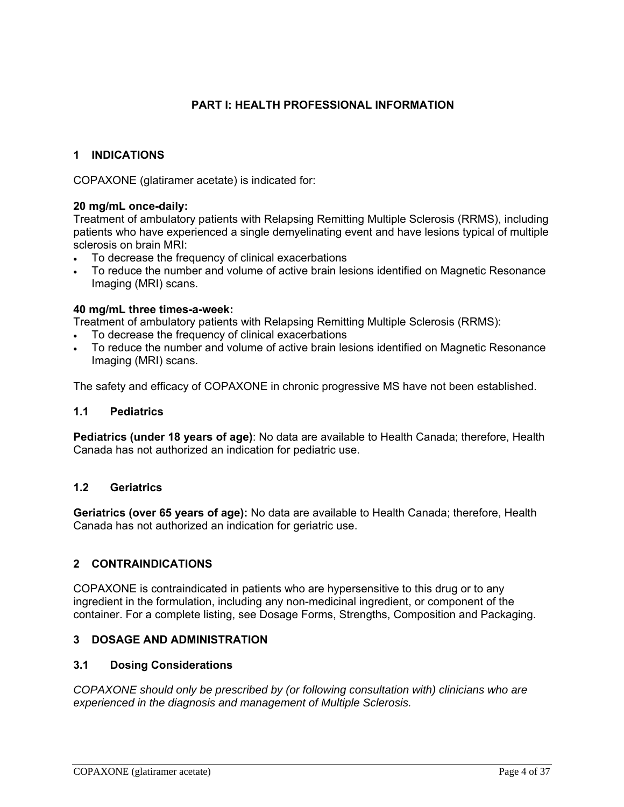## **PART I: HEALTH PROFESSIONAL INFORMATION**

## **1 INDICATIONS**

COPAXONE (glatiramer acetate) is indicated for:

### **20 mg/mL once-daily:**

Treatment of ambulatory patients with Relapsing Remitting Multiple Sclerosis (RRMS), including patients who have experienced a single demyelinating event and have lesions typical of multiple sclerosis on brain MRI:

- To decrease the frequency of clinical exacerbations
- To reduce the number and volume of active brain lesions identified on Magnetic Resonance Imaging (MRI) scans.

### **40 mg/mL three times-a-week:**

Treatment of ambulatory patients with Relapsing Remitting Multiple Sclerosis (RRMS):

- To decrease the frequency of clinical exacerbations
- To reduce the number and volume of active brain lesions identified on Magnetic Resonance Imaging (MRI) scans.

The safety and efficacy of COPAXONE in chronic progressive MS have not been established.

#### **1.1 Pediatrics**

**Pediatrics (under 18 years of age)**: No data are available to Health Canada; therefore, Health Canada has not authorized an indication for pediatric use.

### **1.2 Geriatrics**

**Geriatrics (over 65 years of age):** No data are available to Health Canada; therefore, Health Canada has not authorized an indication for geriatric use.

## **2 CONTRAINDICATIONS**

COPAXONE is contraindicated in patients who are hypersensitive to this drug or to any ingredient in the formulation, including any non-medicinal ingredient, or component of the container. For a complete listing, see Dosage Forms, Strengths, Composition and Packaging.

#### **3 DOSAGE AND ADMINISTRATION**

#### **3.1 Dosing Considerations**

*COPAXONE should only be prescribed by (or following consultation with) clinicians who are experienced in the diagnosis and management of Multiple Sclerosis.*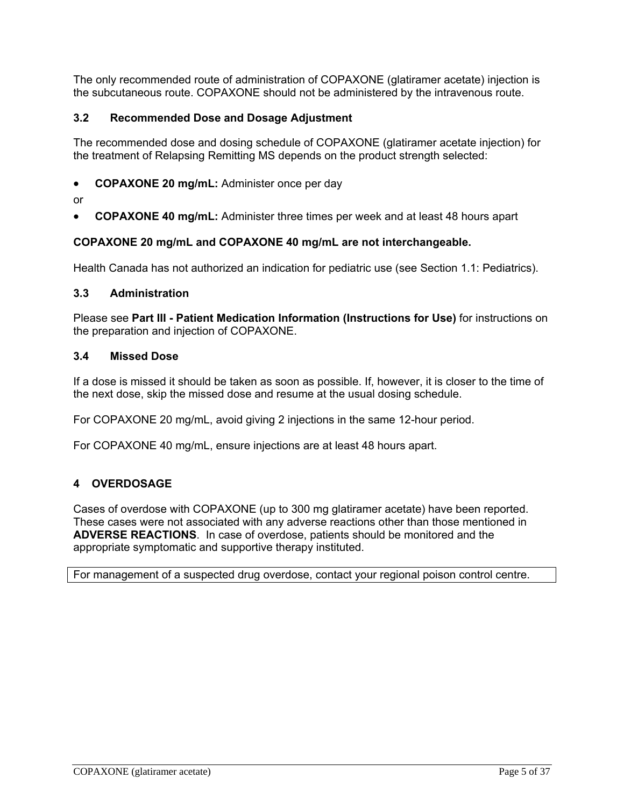The only recommended route of administration of COPAXONE (glatiramer acetate) injection is the subcutaneous route. COPAXONE should not be administered by the intravenous route.

## **3.2 Recommended Dose and Dosage Adjustment**

The recommended dose and dosing schedule of COPAXONE (glatiramer acetate injection) for the treatment of Relapsing Remitting MS depends on the product strength selected:

- **COPAXONE 20 mg/mL:** Administer once per day
- or
- **COPAXONE 40 mg/mL:** Administer three times per week and at least 48 hours apart

## **COPAXONE 20 mg/mL and COPAXONE 40 mg/mL are not interchangeable.**

Health Canada has not authorized an indication for pediatric use (see Section 1.1: Pediatrics).

#### **3.3 Administration**

Please see **Part III - Patient Medication Information (Instructions for Use)** for instructions on the preparation and injection of COPAXONE.

### **3.4 Missed Dose**

If a dose is missed it should be taken as soon as possible. If, however, it is closer to the time of the next dose, skip the missed dose and resume at the usual dosing schedule.

For COPAXONE 20 mg/mL, avoid giving 2 injections in the same 12-hour period.

For COPAXONE 40 mg/mL, ensure injections are at least 48 hours apart.

## **4 OVERDOSAGE**

Cases of overdose with COPAXONE (up to 300 mg glatiramer acetate) have been reported. These cases were not associated with any adverse reactions other than those mentioned in **ADVERSE REACTIONS**. In case of overdose, patients should be monitored and the appropriate symptomatic and supportive therapy instituted.

For management of a suspected drug overdose, contact your regional poison control centre.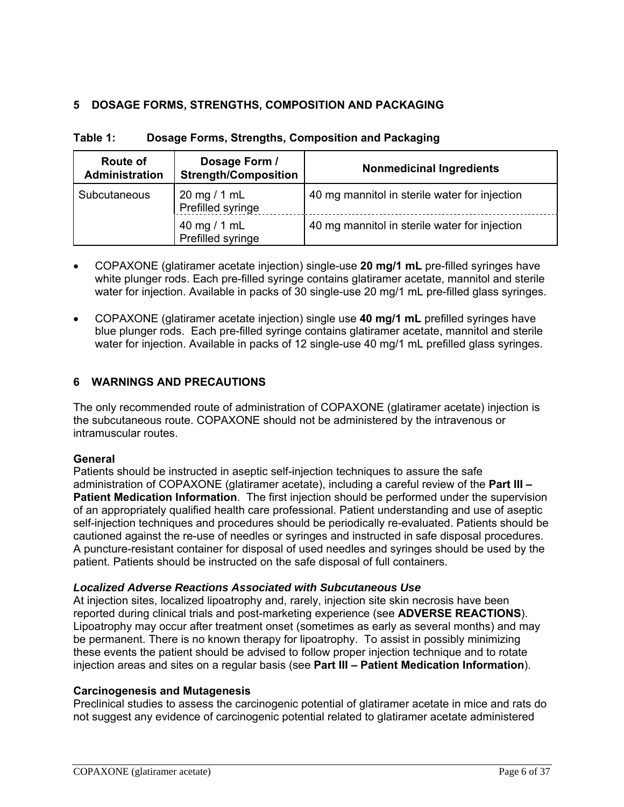## **5 DOSAGE FORMS, STRENGTHS, COMPOSITION AND PACKAGING**

| Route of<br>Administration | Dosage Form /<br><b>Strength/Composition</b> | <b>Nonmedicinal Ingredients</b>               |
|----------------------------|----------------------------------------------|-----------------------------------------------|
| Subcutaneous               | 20 mg / 1 mL<br>Prefilled syringe            | 40 mg mannitol in sterile water for injection |
|                            | 40 mg / 1 mL<br>Prefilled syringe            | 40 mg mannitol in sterile water for injection |

**Table 1: Dosage Forms, Strengths, Composition and Packaging** 

- COPAXONE (glatiramer acetate injection) single-use **20 mg/1 mL** pre-filled syringes have white plunger rods. Each pre-filled syringe contains glatiramer acetate, mannitol and sterile water for injection. Available in packs of 30 single-use 20 mg/1 mL pre-filled glass syringes.
- COPAXONE (glatiramer acetate injection) single use **40 mg/1 mL** prefilled syringes have blue plunger rods. Each pre-filled syringe contains glatiramer acetate, mannitol and sterile water for injection. Available in packs of 12 single-use 40 mg/1 mL prefilled glass syringes.

## **6 WARNINGS AND PRECAUTIONS**

The only recommended route of administration of COPAXONE (glatiramer acetate) injection is the subcutaneous route. COPAXONE should not be administered by the intravenous or intramuscular routes.

## **General**

Patients should be instructed in aseptic self-injection techniques to assure the safe administration of COPAXONE (glatiramer acetate), including a careful review of the **Part III – Patient Medication Information**. The first injection should be performed under the supervision of an appropriately qualified health care professional. Patient understanding and use of aseptic self-injection techniques and procedures should be periodically re-evaluated. Patients should be cautioned against the re-use of needles or syringes and instructed in safe disposal procedures. A puncture-resistant container for disposal of used needles and syringes should be used by the patient. Patients should be instructed on the safe disposal of full containers.

## *Localized Adverse Reactions Associated with Subcutaneous Use*

At injection sites, localized lipoatrophy and, rarely, injection site skin necrosis have been reported during clinical trials and post-marketing experience (see **ADVERSE REACTIONS**). Lipoatrophy may occur after treatment onset (sometimes as early as several months) and may be permanent. There is no known therapy for lipoatrophy. To assist in possibly minimizing these events the patient should be advised to follow proper injection technique and to rotate injection areas and sites on a regular basis (see **Part III – Patient Medication Information**).

## **Carcinogenesis and Mutagenesis**

Preclinical studies to assess the carcinogenic potential of glatiramer acetate in mice and rats do not suggest any evidence of carcinogenic potential related to glatiramer acetate administered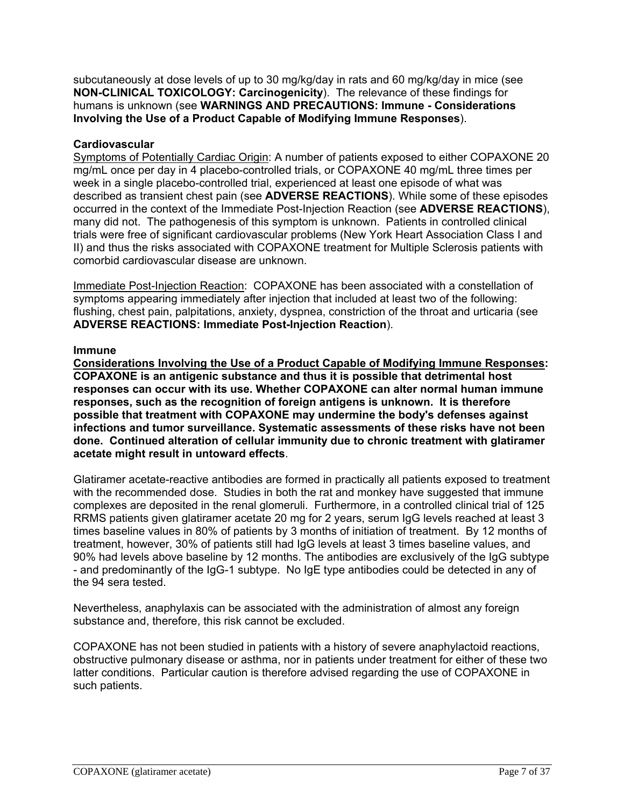subcutaneously at dose levels of up to 30 mg/kg/day in rats and 60 mg/kg/day in mice (see **NON-CLINICAL TOXICOLOGY: Carcinogenicity**). The relevance of these findings for humans is unknown (see **WARNINGS AND PRECAUTIONS: Immune - Considerations Involving the Use of a Product Capable of Modifying Immune Responses**).

## **Cardiovascular**

Symptoms of Potentially Cardiac Origin: A number of patients exposed to either COPAXONE 20 mg/mL once per day in 4 placebo-controlled trials, or COPAXONE 40 mg/mL three times per week in a single placebo-controlled trial, experienced at least one episode of what was described as transient chest pain (see **ADVERSE REACTIONS**). While some of these episodes occurred in the context of the Immediate Post-Injection Reaction (see **ADVERSE REACTIONS**), many did not. The pathogenesis of this symptom is unknown. Patients in controlled clinical trials were free of significant cardiovascular problems (New York Heart Association Class I and II) and thus the risks associated with COPAXONE treatment for Multiple Sclerosis patients with comorbid cardiovascular disease are unknown.

Immediate Post-Injection Reaction: COPAXONE has been associated with a constellation of symptoms appearing immediately after injection that included at least two of the following: flushing, chest pain, palpitations, anxiety, dyspnea, constriction of the throat and urticaria (see **ADVERSE REACTIONS: Immediate Post-Injection Reaction**).

### **Immune**

**Considerations Involving the Use of a Product Capable of Modifying Immune Responses: COPAXONE is an antigenic substance and thus it is possible that detrimental host responses can occur with its use. Whether COPAXONE can alter normal human immune responses, such as the recognition of foreign antigens is unknown. It is therefore possible that treatment with COPAXONE may undermine the body's defenses against infections and tumor surveillance. Systematic assessments of these risks have not been done. Continued alteration of cellular immunity due to chronic treatment with glatiramer acetate might result in untoward effects**.

Glatiramer acetate-reactive antibodies are formed in practically all patients exposed to treatment with the recommended dose. Studies in both the rat and monkey have suggested that immune complexes are deposited in the renal glomeruli. Furthermore, in a controlled clinical trial of 125 RRMS patients given glatiramer acetate 20 mg for 2 years, serum IgG levels reached at least 3 times baseline values in 80% of patients by 3 months of initiation of treatment. By 12 months of treatment, however, 30% of patients still had IgG levels at least 3 times baseline values, and 90% had levels above baseline by 12 months. The antibodies are exclusively of the IgG subtype - and predominantly of the IgG-1 subtype. No IgE type antibodies could be detected in any of the 94 sera tested.

Nevertheless, anaphylaxis can be associated with the administration of almost any foreign substance and, therefore, this risk cannot be excluded.

COPAXONE has not been studied in patients with a history of severe anaphylactoid reactions, obstructive pulmonary disease or asthma, nor in patients under treatment for either of these two latter conditions. Particular caution is therefore advised regarding the use of COPAXONE in such patients.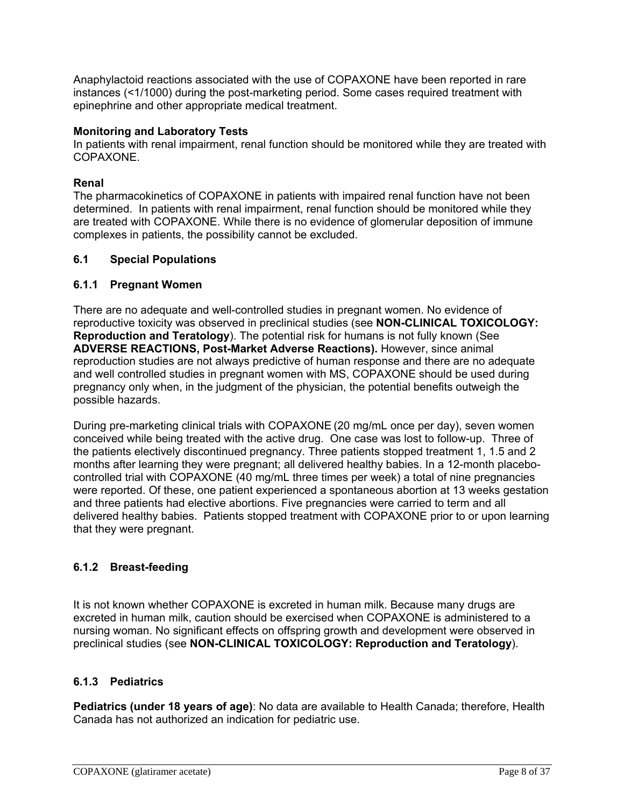Anaphylactoid reactions associated with the use of COPAXONE have been reported in rare instances (<1/1000) during the post-marketing period. Some cases required treatment with epinephrine and other appropriate medical treatment.

### **Monitoring and Laboratory Tests**

In patients with renal impairment, renal function should be monitored while they are treated with COPAXONE.

### **Renal**

The pharmacokinetics of COPAXONE in patients with impaired renal function have not been determined. In patients with renal impairment, renal function should be monitored while they are treated with COPAXONE. While there is no evidence of glomerular deposition of immune complexes in patients, the possibility cannot be excluded.

### **6.1 Special Populations**

### **6.1.1 Pregnant Women**

There are no adequate and well-controlled studies in pregnant women. No evidence of reproductive toxicity was observed in preclinical studies (see **NON-CLINICAL TOXICOLOGY: Reproduction and Teratology**). The potential risk for humans is not fully known (See **ADVERSE REACTIONS, Post-Market Adverse Reactions).** However, since animal reproduction studies are not always predictive of human response and there are no adequate and well controlled studies in pregnant women with MS, COPAXONE should be used during pregnancy only when, in the judgment of the physician, the potential benefits outweigh the possible hazards.

During pre-marketing clinical trials with COPAXONE (20 mg/mL once per day), seven women conceived while being treated with the active drug. One case was lost to follow-up. Three of the patients electively discontinued pregnancy. Three patients stopped treatment 1, 1.5 and 2 months after learning they were pregnant; all delivered healthy babies. In a 12-month placebocontrolled trial with COPAXONE (40 mg/mL three times per week) a total of nine pregnancies were reported. Of these, one patient experienced a spontaneous abortion at 13 weeks gestation and three patients had elective abortions. Five pregnancies were carried to term and all delivered healthy babies. Patients stopped treatment with COPAXONE prior to or upon learning that they were pregnant.

## **6.1.2 Breast-feeding**

It is not known whether COPAXONE is excreted in human milk. Because many drugs are excreted in human milk, caution should be exercised when COPAXONE is administered to a nursing woman. No significant effects on offspring growth and development were observed in preclinical studies (see **NON-CLINICAL TOXICOLOGY: Reproduction and Teratology**).

## **6.1.3 Pediatrics**

**Pediatrics (under 18 years of age)**: No data are available to Health Canada; therefore, Health Canada has not authorized an indication for pediatric use.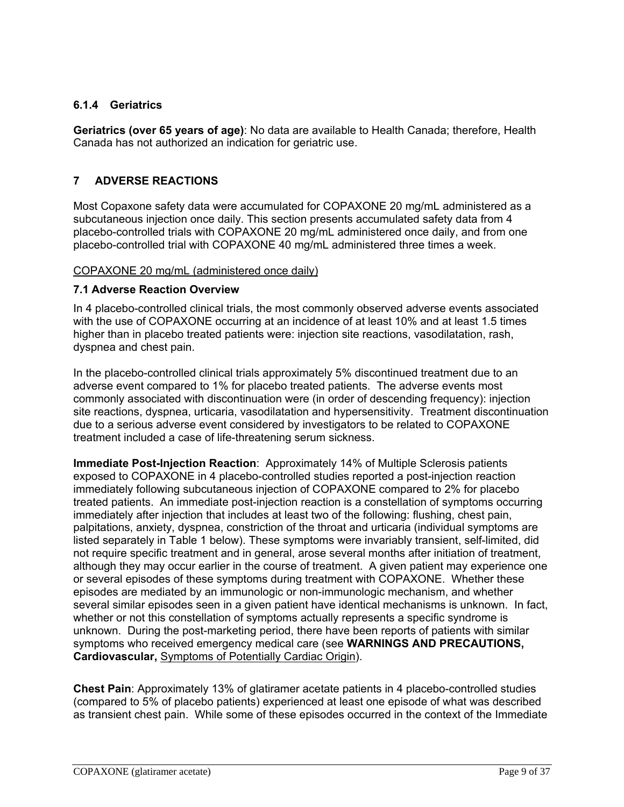## **6.1.4 Geriatrics**

**Geriatrics (over 65 years of age)**: No data are available to Health Canada; therefore, Health Canada has not authorized an indication for geriatric use.

## **7 ADVERSE REACTIONS**

Most Copaxone safety data were accumulated for COPAXONE 20 mg/mL administered as a subcutaneous injection once daily. This section presents accumulated safety data from 4 placebo-controlled trials with COPAXONE 20 mg/mL administered once daily, and from one placebo-controlled trial with COPAXONE 40 mg/mL administered three times a week.

### COPAXONE 20 mg/mL (administered once daily)

### **7.1 Adverse Reaction Overview**

In 4 placebo-controlled clinical trials, the most commonly observed adverse events associated with the use of COPAXONE occurring at an incidence of at least 10% and at least 1.5 times higher than in placebo treated patients were: injection site reactions, vasodilatation, rash, dyspnea and chest pain.

In the placebo-controlled clinical trials approximately 5% discontinued treatment due to an adverse event compared to 1% for placebo treated patients. The adverse events most commonly associated with discontinuation were (in order of descending frequency): injection site reactions, dyspnea, urticaria, vasodilatation and hypersensitivity. Treatment discontinuation due to a serious adverse event considered by investigators to be related to COPAXONE treatment included a case of life-threatening serum sickness.

**Immediate Post-Injection Reaction**: Approximately 14% of Multiple Sclerosis patients exposed to COPAXONE in 4 placebo-controlled studies reported a post-injection reaction immediately following subcutaneous injection of COPAXONE compared to 2% for placebo treated patients. An immediate post-injection reaction is a constellation of symptoms occurring immediately after injection that includes at least two of the following: flushing, chest pain, palpitations, anxiety, dyspnea, constriction of the throat and urticaria (individual symptoms are listed separately in Table 1 below). These symptoms were invariably transient, self-limited, did not require specific treatment and in general, arose several months after initiation of treatment, although they may occur earlier in the course of treatment. A given patient may experience one or several episodes of these symptoms during treatment with COPAXONE. Whether these episodes are mediated by an immunologic or non-immunologic mechanism, and whether several similar episodes seen in a given patient have identical mechanisms is unknown. In fact, whether or not this constellation of symptoms actually represents a specific syndrome is unknown. During the post-marketing period, there have been reports of patients with similar symptoms who received emergency medical care (see **WARNINGS AND PRECAUTIONS, Cardiovascular,** Symptoms of Potentially Cardiac Origin).

**Chest Pain**: Approximately 13% of glatiramer acetate patients in 4 placebo-controlled studies (compared to 5% of placebo patients) experienced at least one episode of what was described as transient chest pain. While some of these episodes occurred in the context of the Immediate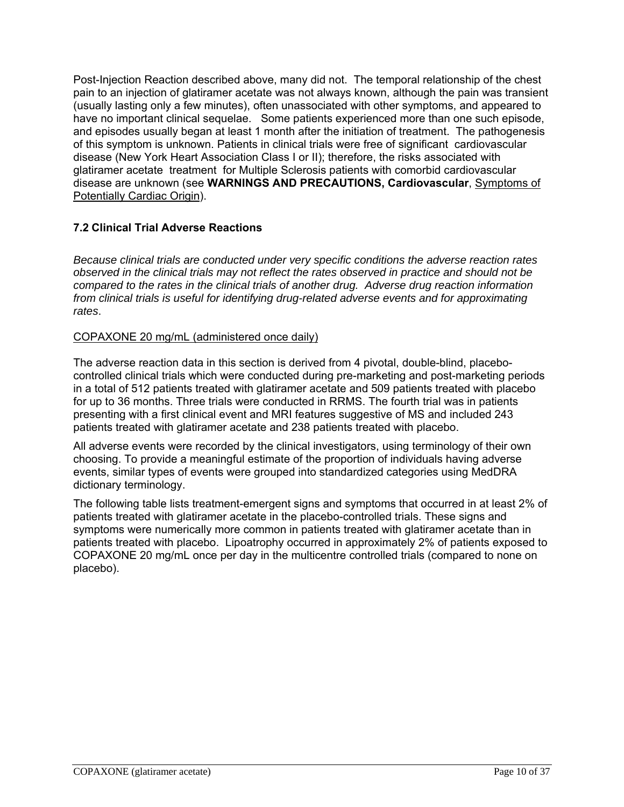Post-Injection Reaction described above, many did not. The temporal relationship of the chest pain to an injection of glatiramer acetate was not always known, although the pain was transient (usually lasting only a few minutes), often unassociated with other symptoms, and appeared to have no important clinical sequelae. Some patients experienced more than one such episode, and episodes usually began at least 1 month after the initiation of treatment. The pathogenesis of this symptom is unknown. Patients in clinical trials were free of significant cardiovascular disease (New York Heart Association Class I or II); therefore, the risks associated with glatiramer acetate treatment for Multiple Sclerosis patients with comorbid cardiovascular disease are unknown (see **WARNINGS AND PRECAUTIONS, Cardiovascular**, Symptoms of Potentially Cardiac Origin).

## **7.2 Clinical Trial Adverse Reactions**

*Because clinical trials are conducted under very specific conditions the adverse reaction rates observed in the clinical trials may not reflect the rates observed in practice and should not be compared to the rates in the clinical trials of another drug. Adverse drug reaction information from clinical trials is useful for identifying drug-related adverse events and for approximating rates*.

## COPAXONE 20 mg/mL (administered once daily)

The adverse reaction data in this section is derived from 4 pivotal, double-blind, placebocontrolled clinical trials which were conducted during pre-marketing and post-marketing periods in a total of 512 patients treated with glatiramer acetate and 509 patients treated with placebo for up to 36 months. Three trials were conducted in RRMS. The fourth trial was in patients presenting with a first clinical event and MRI features suggestive of MS and included 243 patients treated with glatiramer acetate and 238 patients treated with placebo.

All adverse events were recorded by the clinical investigators, using terminology of their own choosing. To provide a meaningful estimate of the proportion of individuals having adverse events, similar types of events were grouped into standardized categories using MedDRA dictionary terminology.

The following table lists treatment-emergent signs and symptoms that occurred in at least 2% of patients treated with glatiramer acetate in the placebo-controlled trials. These signs and symptoms were numerically more common in patients treated with glatiramer acetate than in patients treated with placebo. Lipoatrophy occurred in approximately 2% of patients exposed to COPAXONE 20 mg/mL once per day in the multicentre controlled trials (compared to none on placebo).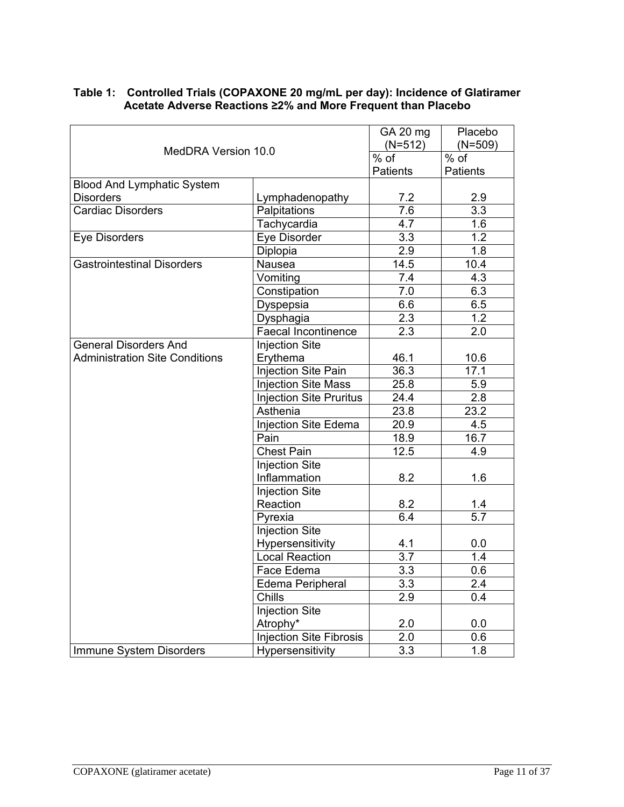|                                       | GA 20 mg<br>$(N=512)$          | Placebo<br>$(N=509)$ |                   |
|---------------------------------------|--------------------------------|----------------------|-------------------|
| MedDRA Version 10.0                   |                                | $%$ of               | $\frac{1}{\%}$ of |
|                                       |                                | <b>Patients</b>      | <b>Patients</b>   |
| <b>Blood And Lymphatic System</b>     |                                |                      |                   |
| <b>Disorders</b>                      | Lymphadenopathy                | 7.2                  | 2.9               |
| <b>Cardiac Disorders</b>              | Palpitations                   | 7.6                  | 3.3               |
|                                       | Tachycardia                    | 4.7                  | 1.6               |
| <b>Eye Disorders</b>                  | Eye Disorder                   | 3.3                  | 1.2               |
|                                       | Diplopia                       | 2.9                  | 1.8               |
| <b>Gastrointestinal Disorders</b>     | Nausea                         | 14.5                 | 10.4              |
|                                       | Vomiting                       | 7.4                  | 4.3               |
|                                       | Constipation                   | 7.0                  | 6.3               |
|                                       | Dyspepsia                      | 6.6                  | 6.5               |
|                                       | Dysphagia                      | 2.3                  | 1.2               |
|                                       | <b>Faecal Incontinence</b>     | 2.3                  | 2.0               |
| <b>General Disorders And</b>          | <b>Injection Site</b>          |                      |                   |
| <b>Administration Site Conditions</b> | Erythema                       | 46.1                 | 10.6              |
|                                       | Injection Site Pain            | 36.3                 | 17.1              |
|                                       | <b>Injection Site Mass</b>     | 25.8                 | 5.9               |
|                                       | <b>Injection Site Pruritus</b> | 24.4                 | 2.8               |
|                                       | Asthenia                       | 23.8                 | 23.2              |
|                                       | Injection Site Edema           | 20.9                 | 4.5               |
|                                       | Pain                           | 18.9                 | 16.7              |
|                                       | <b>Chest Pain</b>              | 12.5                 | 4.9               |
|                                       | <b>Injection Site</b>          |                      |                   |
|                                       | Inflammation                   | 8.2                  | 1.6               |
|                                       | <b>Injection Site</b>          |                      |                   |
|                                       | Reaction                       | 8.2                  | 1.4               |
|                                       | Pyrexia                        | 6.4                  | 5.7               |
|                                       | <b>Injection Site</b>          |                      |                   |
|                                       | Hypersensitivity               | 4.1                  | 0.0               |
|                                       | <b>Local Reaction</b>          | 3.7                  | 1.4               |
|                                       | Face Edema                     | 3.3                  | 0.6               |
|                                       | Edema Peripheral               | 3.3                  | 2.4               |
|                                       | Chills                         | 2.9                  | 0.4               |
|                                       | Injection Site                 |                      |                   |
|                                       | Atrophy*                       | 2.0                  | 0.0               |
|                                       | <b>Injection Site Fibrosis</b> | 2.0                  | 0.6               |
| Immune System Disorders               | Hypersensitivity               | 3.3                  | 1.8               |

### **Table 1: Controlled Trials (COPAXONE 20 mg/mL per day): Incidence of Glatiramer Acetate Adverse Reactions ≥2% and More Frequent than Placebo**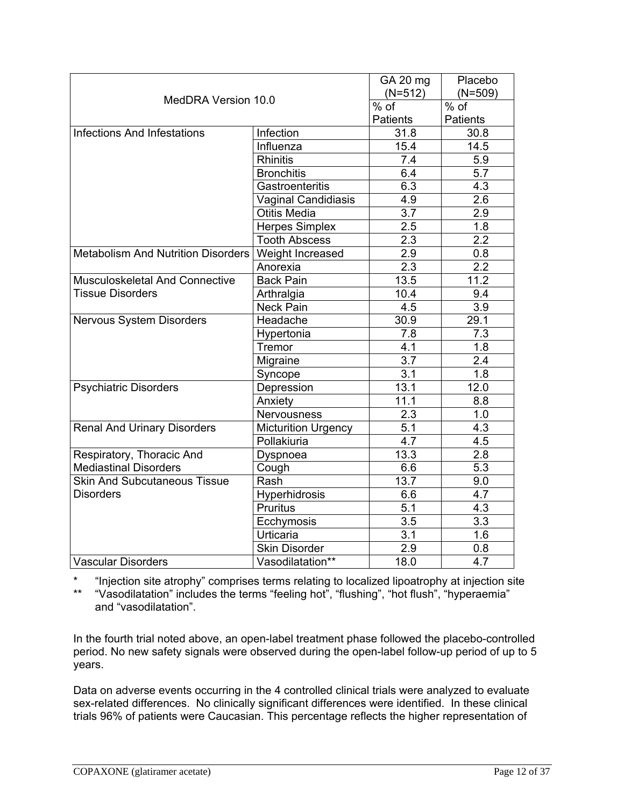|                                             |                            | GA 20 mg         | Placebo         |
|---------------------------------------------|----------------------------|------------------|-----------------|
| MedDRA Version 10.0                         |                            | $(N=512)$        | $(N=509)$       |
|                                             |                            | $%$ of           | % of            |
|                                             |                            | <b>Patients</b>  | <b>Patients</b> |
| <b>Infections And Infestations</b>          | Infection                  | 31.8             | 30.8            |
|                                             | Influenza                  | 15.4             | 14.5            |
|                                             | <b>Rhinitis</b>            | 7.4              | 5.9             |
|                                             | <b>Bronchitis</b>          | 6.4              | 5.7             |
|                                             | Gastroenteritis            | $6.\overline{3}$ | 4.3             |
|                                             | Vaginal Candidiasis        | 4.9              | 2.6             |
|                                             | <b>Otitis Media</b>        | 3.7              | 2.9             |
|                                             | <b>Herpes Simplex</b>      | 2.5              | 1.8             |
|                                             | <b>Tooth Abscess</b>       | 2.3              | 2.2             |
| Metabolism And Nutrition Disorders          | Weight Increased           | 2.9              | 0.8             |
|                                             | Anorexia                   | 2.3              | 2.2             |
| Musculoskeletal And Connective              | <b>Back Pain</b>           | 13.5             | 11.2            |
| <b>Tissue Disorders</b>                     | Arthralgia                 | 10.4             | 9.4             |
|                                             | <b>Neck Pain</b>           | 4.5              | 3.9             |
| Nervous System Disorders                    | Headache                   | 30.9             | 29.1            |
|                                             | Hypertonia                 | 7.8              | 7.3             |
|                                             | Tremor                     | 4.1              | 1.8             |
|                                             | Migraine                   | 3.7              | 2.4             |
|                                             | Syncope                    | 3.1              | 1.8             |
| <b>Psychiatric Disorders</b>                | Depression                 | 13.1             | 12.0            |
|                                             | Anxiety                    | 11.1             | 8.8             |
|                                             | Nervousness                | 2.3              | 1.0             |
| <b>Renal And Urinary Disorders</b>          | <b>Micturition Urgency</b> | 5.1              | 4.3             |
|                                             | Pollakiuria                | 4.7              | 4.5             |
| Respiratory, Thoracic And                   | Dyspnoea                   | 13.3             | 2.8             |
| <b>Mediastinal Disorders</b>                | Cough                      | 6.6              | 5.3             |
| <b>Skin And Subcutaneous Tissue</b><br>Rash |                            | 13.7             | 9.0             |
| <b>Disorders</b>                            | Hyperhidrosis              | 6.6              | 4.7             |
|                                             | Pruritus                   | 5.1              | 4.3             |
|                                             | Ecchymosis                 | $\overline{3.5}$ | 3.3             |
|                                             | Urticaria                  | 3.1              | 1.6             |
|                                             | Skin Disorder              | 2.9              | 0.8             |
| <b>Vascular Disorders</b>                   | Vasodilatation**           | 18.0             | 4.7             |

\* "Injection site atrophy" comprises terms relating to localized lipoatrophy at injection site

\*\* "Vasodilatation" includes the terms "feeling hot", "flushing", "hot flush", "hyperaemia" and "vasodilatation".

In the fourth trial noted above, an open-label treatment phase followed the placebo-controlled period. No new safety signals were observed during the open-label follow-up period of up to 5 years.

Data on adverse events occurring in the 4 controlled clinical trials were analyzed to evaluate sex-related differences. No clinically significant differences were identified. In these clinical trials 96% of patients were Caucasian. This percentage reflects the higher representation of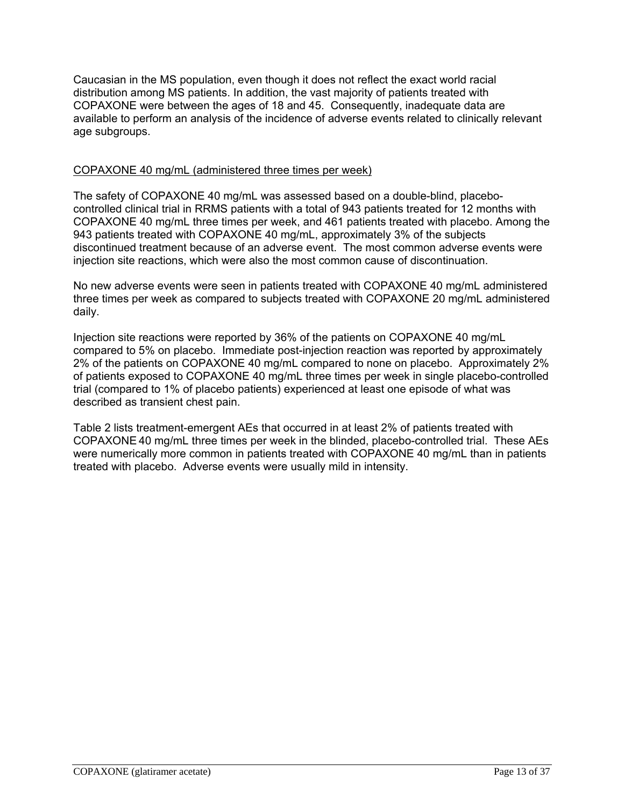Caucasian in the MS population, even though it does not reflect the exact world racial distribution among MS patients. In addition, the vast majority of patients treated with COPAXONE were between the ages of 18 and 45. Consequently, inadequate data are available to perform an analysis of the incidence of adverse events related to clinically relevant age subgroups.

### COPAXONE 40 mg/mL (administered three times per week)

The safety of COPAXONE 40 mg/mL was assessed based on a double-blind, placebocontrolled clinical trial in RRMS patients with a total of 943 patients treated for 12 months with COPAXONE 40 mg/mL three times per week, and 461 patients treated with placebo. Among the 943 patients treated with COPAXONE 40 mg/mL, approximately 3% of the subjects discontinued treatment because of an adverse event. The most common adverse events were injection site reactions, which were also the most common cause of discontinuation.

No new adverse events were seen in patients treated with COPAXONE 40 mg/mL administered three times per week as compared to subjects treated with COPAXONE 20 mg/mL administered daily.

Injection site reactions were reported by 36% of the patients on COPAXONE 40 mg/mL compared to 5% on placebo. Immediate post-injection reaction was reported by approximately 2% of the patients on COPAXONE 40 mg/mL compared to none on placebo. Approximately 2% of patients exposed to COPAXONE 40 mg/mL three times per week in single placebo-controlled trial (compared to 1% of placebo patients) experienced at least one episode of what was described as transient chest pain.

Table 2 lists treatment-emergent AEs that occurred in at least 2% of patients treated with COPAXONE 40 mg/mL three times per week in the blinded, placebo-controlled trial. These AEs were numerically more common in patients treated with COPAXONE 40 mg/mL than in patients treated with placebo. Adverse events were usually mild in intensity.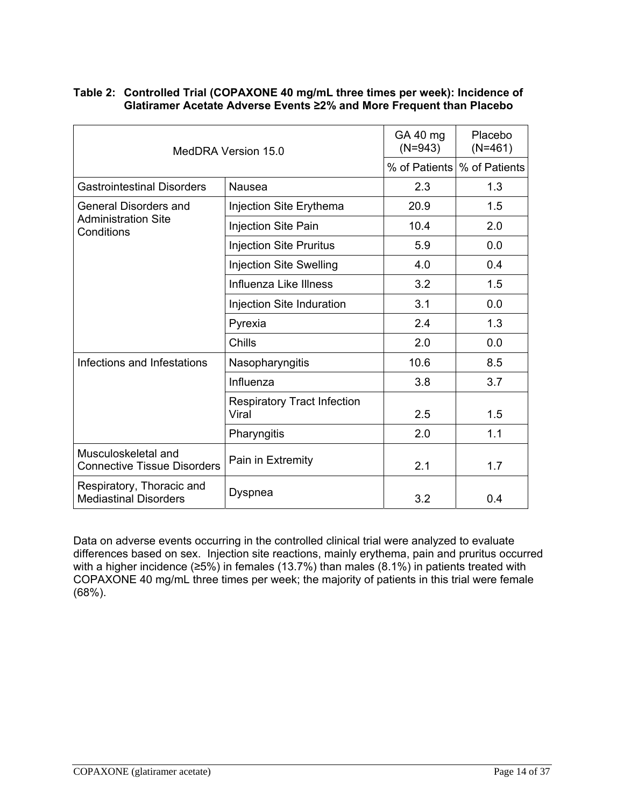| MedDRA Version 15.0                                       |                                             | GA 40 mg<br>$(N=943)$ | <b>Placebo</b><br>$(N=461)$   |
|-----------------------------------------------------------|---------------------------------------------|-----------------------|-------------------------------|
|                                                           |                                             |                       | % of Patients   % of Patients |
| <b>Gastrointestinal Disorders</b>                         | <b>Nausea</b>                               | 2.3                   | 1.3                           |
| <b>General Disorders and</b>                              | Injection Site Erythema                     | 20.9                  | 1.5                           |
| <b>Administration Site</b><br>Conditions                  | Injection Site Pain                         | 10.4                  | 2.0                           |
|                                                           | <b>Injection Site Pruritus</b>              | 5.9                   | 0.0                           |
|                                                           | <b>Injection Site Swelling</b>              | 4.0                   | 0.4                           |
|                                                           | Influenza Like Illness                      | 3.2                   | 1.5                           |
|                                                           | Injection Site Induration                   | 3.1                   | 0.0                           |
|                                                           | Pyrexia                                     | 2.4                   | 1.3                           |
|                                                           | Chills                                      | 2.0                   | 0.0                           |
| Infections and Infestations                               | Nasopharyngitis                             | 10.6                  | 8.5                           |
|                                                           | Influenza                                   | 3.8                   | 3.7                           |
|                                                           | <b>Respiratory Tract Infection</b><br>Viral | 2.5                   | 1.5                           |
|                                                           | Pharyngitis                                 | 2.0                   | 1.1                           |
| Musculoskeletal and<br><b>Connective Tissue Disorders</b> | Pain in Extremity                           | 2.1                   | 1.7                           |
| Respiratory, Thoracic and<br><b>Mediastinal Disorders</b> | Dyspnea                                     | 3.2                   | 0.4                           |

#### **Table 2: Controlled Trial (COPAXONE 40 mg/mL three times per week): Incidence of Glatiramer Acetate Adverse Events ≥2% and More Frequent than Placebo**

Data on adverse events occurring in the controlled clinical trial were analyzed to evaluate differences based on sex. Injection site reactions, mainly erythema, pain and pruritus occurred with a higher incidence ( $\geq$ 5%) in females (13.7%) than males (8.1%) in patients treated with COPAXONE 40 mg/mL three times per week; the majority of patients in this trial were female (68%).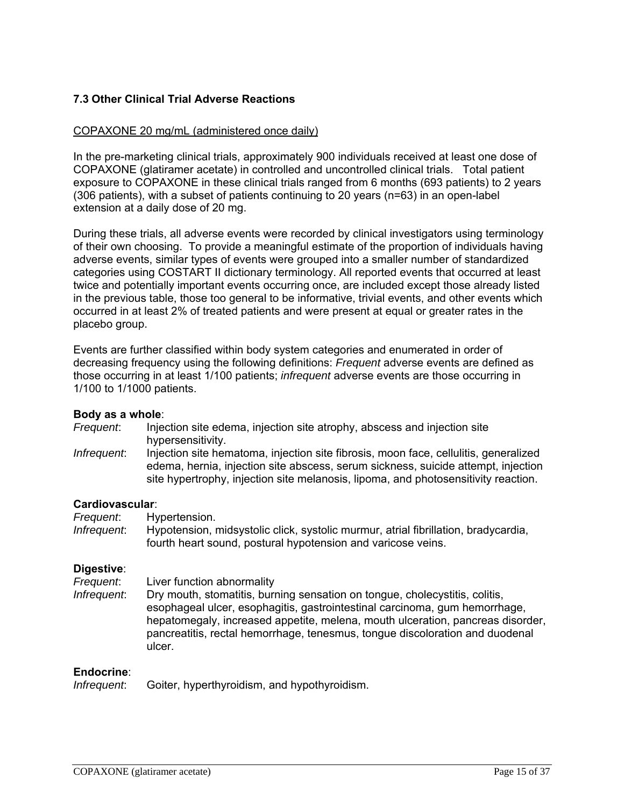## **7.3 Other Clinical Trial Adverse Reactions**

### COPAXONE 20 mg/mL (administered once daily)

In the pre-marketing clinical trials, approximately 900 individuals received at least one dose of COPAXONE (glatiramer acetate) in controlled and uncontrolled clinical trials. Total patient exposure to COPAXONE in these clinical trials ranged from 6 months (693 patients) to 2 years (306 patients), with a subset of patients continuing to 20 years (n=63) in an open-label extension at a daily dose of 20 mg.

During these trials, all adverse events were recorded by clinical investigators using terminology of their own choosing. To provide a meaningful estimate of the proportion of individuals having adverse events, similar types of events were grouped into a smaller number of standardized categories using COSTART II dictionary terminology. All reported events that occurred at least twice and potentially important events occurring once, are included except those already listed in the previous table, those too general to be informative, trivial events, and other events which occurred in at least 2% of treated patients and were present at equal or greater rates in the placebo group.

Events are further classified within body system categories and enumerated in order of decreasing frequency using the following definitions: *Frequent* adverse events are defined as those occurring in at least 1/100 patients; *infrequent* adverse events are those occurring in 1/100 to 1/1000 patients.

#### **Body as a whole**:

- *Frequent*: Injection site edema, injection site atrophy, abscess and injection site hypersensitivity.
- *Infrequent*: Injection site hematoma, injection site fibrosis, moon face, cellulitis, generalized edema, hernia, injection site abscess, serum sickness, suicide attempt, injection site hypertrophy, injection site melanosis, lipoma, and photosensitivity reaction.

#### **Cardiovascular**:

*Frequent*: Hypertension.

*Infrequent*: Hypotension, midsystolic click, systolic murmur, atrial fibrillation, bradycardia, fourth heart sound, postural hypotension and varicose veins.

#### **Digestive**:

*Frequent*: Liver function abnormality

*Infrequent*: Dry mouth, stomatitis, burning sensation on tongue, cholecystitis, colitis, esophageal ulcer, esophagitis, gastrointestinal carcinoma, gum hemorrhage, hepatomegaly, increased appetite, melena, mouth ulceration, pancreas disorder, pancreatitis, rectal hemorrhage, tenesmus, tongue discoloration and duodenal ulcer.

#### **Endocrine**:

*Infrequent*: Goiter, hyperthyroidism, and hypothyroidism.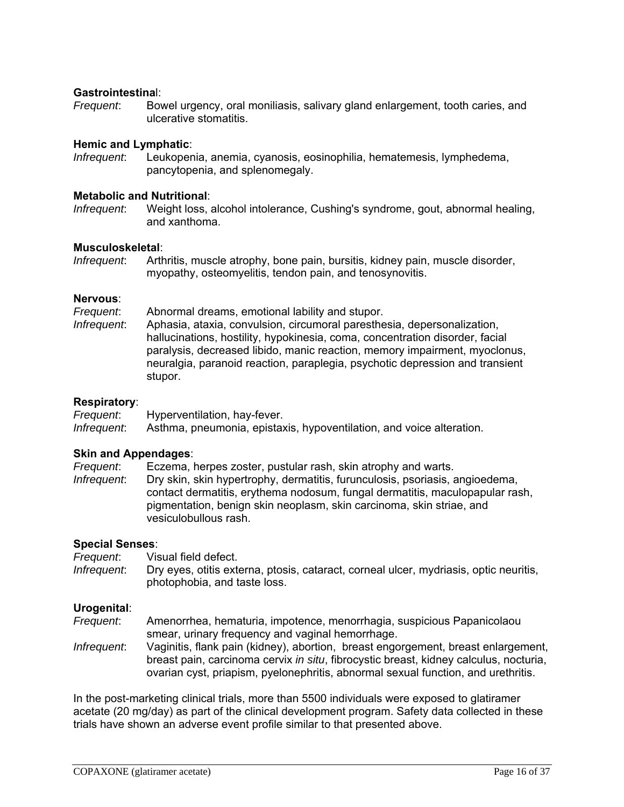#### **Gastrointestina**l:

*Frequent*: Bowel urgency, oral moniliasis, salivary gland enlargement, tooth caries, and ulcerative stomatitis.

#### **Hemic and Lymphatic**:

*Infrequent*: Leukopenia, anemia, cyanosis, eosinophilia, hematemesis, lymphedema, pancytopenia, and splenomegaly.

#### **Metabolic and Nutritional**:

*Infrequent*: Weight loss, alcohol intolerance, Cushing's syndrome, gout, abnormal healing, and xanthoma.

#### **Musculoskeletal**:

*Infrequent*: Arthritis, muscle atrophy, bone pain, bursitis, kidney pain, muscle disorder, myopathy, osteomyelitis, tendon pain, and tenosynovitis.

#### **Nervous**:

*Frequent*: Abnormal dreams, emotional lability and stupor. *Infrequent*: Aphasia, ataxia, convulsion, circumoral paresthesia, depersonalization, hallucinations, hostility, hypokinesia, coma, concentration disorder, facial paralysis, decreased libido, manic reaction, memory impairment, myoclonus, neuralgia, paranoid reaction, paraplegia, psychotic depression and transient stupor.

#### **Respiratory**:

*Frequent*: Hyperventilation, hay-fever. *Infrequent*: Asthma, pneumonia, epistaxis, hypoventilation, and voice alteration.

#### **Skin and Appendages**:

*Frequent*: Eczema, herpes zoster, pustular rash, skin atrophy and warts.

*Infrequent*: Dry skin, skin hypertrophy, dermatitis, furunculosis, psoriasis, angioedema, contact dermatitis, erythema nodosum, fungal dermatitis, maculopapular rash, pigmentation, benign skin neoplasm, skin carcinoma, skin striae, and vesiculobullous rash.

#### **Special Senses**:

*Frequent*: Visual field defect. *Infrequent*: Dry eyes, otitis externa, ptosis, cataract, corneal ulcer, mydriasis, optic neuritis, photophobia, and taste loss.

#### **Urogenital**:

- *Frequent*: Amenorrhea, hematuria, impotence, menorrhagia, suspicious Papanicolaou smear, urinary frequency and vaginal hemorrhage.
- *Infrequent*: Vaginitis, flank pain (kidney), abortion, breast engorgement, breast enlargement, breast pain, carcinoma cervix *in situ*, fibrocystic breast, kidney calculus, nocturia, ovarian cyst, priapism, pyelonephritis, abnormal sexual function, and urethritis.

In the post-marketing clinical trials, more than 5500 individuals were exposed to glatiramer acetate (20 mg/day) as part of the clinical development program. Safety data collected in these trials have shown an adverse event profile similar to that presented above.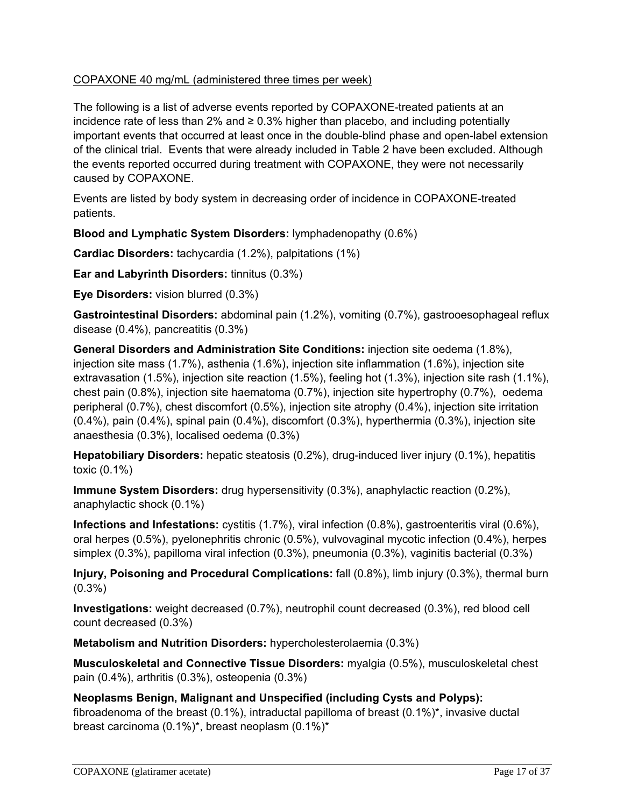## COPAXONE 40 mg/mL (administered three times per week)

The following is a list of adverse events reported by COPAXONE-treated patients at an incidence rate of less than 2% and  $\geq 0.3\%$  higher than placebo, and including potentially important events that occurred at least once in the double-blind phase and open-label extension of the clinical trial. Events that were already included in Table 2 have been excluded. Although the events reported occurred during treatment with COPAXONE, they were not necessarily caused by COPAXONE.

Events are listed by body system in decreasing order of incidence in COPAXONE-treated patients.

**Blood and Lymphatic System Disorders:** lymphadenopathy (0.6%)

**Cardiac Disorders:** tachycardia (1.2%), palpitations (1%)

**Ear and Labyrinth Disorders:** tinnitus (0.3%)

**Eye Disorders:** vision blurred (0.3%)

**Gastrointestinal Disorders:** abdominal pain (1.2%), vomiting (0.7%), gastrooesophageal reflux disease (0.4%), pancreatitis (0.3%)

**General Disorders and Administration Site Conditions:** injection site oedema (1.8%), injection site mass (1.7%), asthenia (1.6%), injection site inflammation (1.6%), injection site extravasation (1.5%), injection site reaction (1.5%), feeling hot (1.3%), injection site rash (1.1%), chest pain (0.8%), injection site haematoma (0.7%), injection site hypertrophy (0.7%), oedema peripheral (0.7%), chest discomfort (0.5%), injection site atrophy (0.4%), injection site irritation (0.4%), pain (0.4%), spinal pain (0.4%), discomfort (0.3%), hyperthermia (0.3%), injection site anaesthesia (0.3%), localised oedema (0.3%)

**Hepatobiliary Disorders:** hepatic steatosis (0.2%), drug-induced liver injury (0.1%), hepatitis toxic (0.1%)

**Immune System Disorders:** drug hypersensitivity (0.3%), anaphylactic reaction (0.2%), anaphylactic shock (0.1%)

**Infections and Infestations:** cystitis (1.7%), viral infection (0.8%), gastroenteritis viral (0.6%), oral herpes (0.5%), pyelonephritis chronic (0.5%), vulvovaginal mycotic infection (0.4%), herpes simplex (0.3%), papilloma viral infection (0.3%), pneumonia (0.3%), vaginitis bacterial (0.3%)

**Injury, Poisoning and Procedural Complications:** fall (0.8%), limb injury (0.3%), thermal burn (0.3%)

**Investigations:** weight decreased (0.7%), neutrophil count decreased (0.3%), red blood cell count decreased (0.3%)

**Metabolism and Nutrition Disorders:** hypercholesterolaemia (0.3%)

**Musculoskeletal and Connective Tissue Disorders:** myalgia (0.5%), musculoskeletal chest pain (0.4%), arthritis (0.3%), osteopenia (0.3%)

**Neoplasms Benign, Malignant and Unspecified (including Cysts and Polyps):**  fibroadenoma of the breast (0.1%), intraductal papilloma of breast (0.1%)\*, invasive ductal breast carcinoma (0.1%)\*, breast neoplasm (0.1%)\*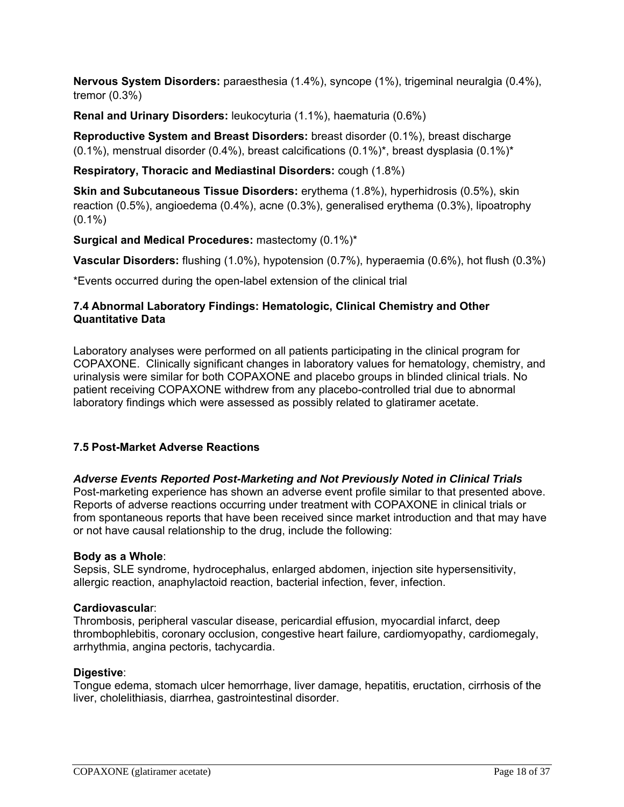**Nervous System Disorders:** paraesthesia (1.4%), syncope (1%), trigeminal neuralgia (0.4%), tremor (0.3%)

**Renal and Urinary Disorders:** leukocyturia (1.1%), haematuria (0.6%)

**Reproductive System and Breast Disorders:** breast disorder (0.1%), breast discharge  $(0.1\%)$ , menstrual disorder  $(0.4\%)$ , breast calcifications  $(0.1\%)^*$ , breast dysplasia  $(0.1\%)^*$ 

## **Respiratory, Thoracic and Mediastinal Disorders:** cough (1.8%)

**Skin and Subcutaneous Tissue Disorders:** erythema (1.8%), hyperhidrosis (0.5%), skin reaction (0.5%), angioedema (0.4%), acne (0.3%), generalised erythema (0.3%), lipoatrophy  $(0.1\%)$ 

**Surgical and Medical Procedures:** mastectomy (0.1%)\*

**Vascular Disorders:** flushing (1.0%), hypotension (0.7%), hyperaemia (0.6%), hot flush (0.3%)

\*Events occurred during the open-label extension of the clinical trial

## **7.4 Abnormal Laboratory Findings: Hematologic, Clinical Chemistry and Other Quantitative Data**

Laboratory analyses were performed on all patients participating in the clinical program for COPAXONE. Clinically significant changes in laboratory values for hematology, chemistry, and urinalysis were similar for both COPAXONE and placebo groups in blinded clinical trials. No patient receiving COPAXONE withdrew from any placebo-controlled trial due to abnormal laboratory findings which were assessed as possibly related to glatiramer acetate.

## **7.5 Post-Market Adverse Reactions**

## *Adverse Events Reported Post-Marketing and Not Previously Noted in Clinical Trials*

Post-marketing experience has shown an adverse event profile similar to that presented above. Reports of adverse reactions occurring under treatment with COPAXONE in clinical trials or from spontaneous reports that have been received since market introduction and that may have or not have causal relationship to the drug, include the following:

#### **Body as a Whole**:

Sepsis, SLE syndrome, hydrocephalus, enlarged abdomen, injection site hypersensitivity, allergic reaction, anaphylactoid reaction, bacterial infection, fever, infection.

#### **Cardiovascula**r:

Thrombosis, peripheral vascular disease, pericardial effusion, myocardial infarct, deep thrombophlebitis, coronary occlusion, congestive heart failure, cardiomyopathy, cardiomegaly, arrhythmia, angina pectoris, tachycardia.

#### **Digestive**:

Tongue edema, stomach ulcer hemorrhage, liver damage, hepatitis, eructation, cirrhosis of the liver, cholelithiasis, diarrhea, gastrointestinal disorder.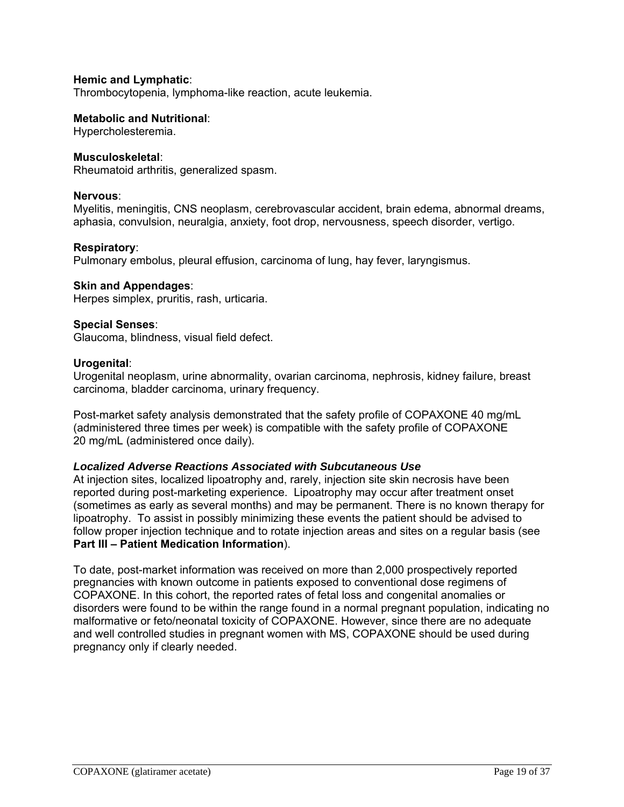### **Hemic and Lymphatic**:

Thrombocytopenia, lymphoma-like reaction, acute leukemia.

#### **Metabolic and Nutritional**:

Hypercholesteremia.

#### **Musculoskeletal**:

Rheumatoid arthritis, generalized spasm.

#### **Nervous**:

Myelitis, meningitis, CNS neoplasm, cerebrovascular accident, brain edema, abnormal dreams, aphasia, convulsion, neuralgia, anxiety, foot drop, nervousness, speech disorder, vertigo.

#### **Respiratory**:

Pulmonary embolus, pleural effusion, carcinoma of lung, hay fever, laryngismus.

#### **Skin and Appendages**:

Herpes simplex, pruritis, rash, urticaria.

## **Special Senses**:

Glaucoma, blindness, visual field defect.

#### **Urogenital**:

Urogenital neoplasm, urine abnormality, ovarian carcinoma, nephrosis, kidney failure, breast carcinoma, bladder carcinoma, urinary frequency.

Post-market safety analysis demonstrated that the safety profile of COPAXONE 40 mg/mL (administered three times per week) is compatible with the safety profile of COPAXONE 20 mg/mL (administered once daily).

#### *Localized Adverse Reactions Associated with Subcutaneous Use*

At injection sites, localized lipoatrophy and, rarely, injection site skin necrosis have been reported during post-marketing experience. Lipoatrophy may occur after treatment onset (sometimes as early as several months) and may be permanent. There is no known therapy for lipoatrophy. To assist in possibly minimizing these events the patient should be advised to follow proper injection technique and to rotate injection areas and sites on a regular basis (see **Part III – Patient Medication Information**).

To date, post-market information was received on more than 2,000 prospectively reported pregnancies with known outcome in patients exposed to conventional dose regimens of COPAXONE. In this cohort, the reported rates of fetal loss and congenital anomalies or disorders were found to be within the range found in a normal pregnant population, indicating no malformative or feto/neonatal toxicity of COPAXONE. However, since there are no adequate and well controlled studies in pregnant women with MS, COPAXONE should be used during pregnancy only if clearly needed.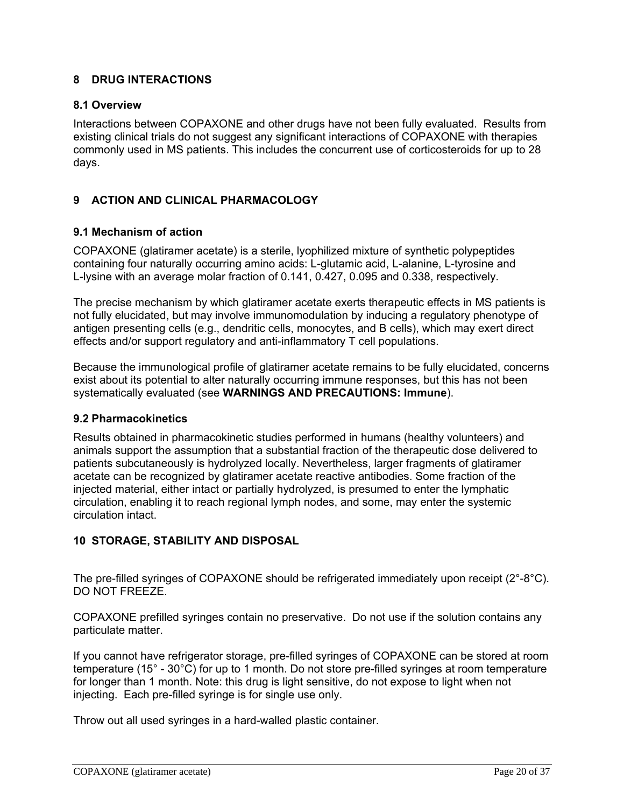## **8 DRUG INTERACTIONS**

### **8.1 Overview**

Interactions between COPAXONE and other drugs have not been fully evaluated. Results from existing clinical trials do not suggest any significant interactions of COPAXONE with therapies commonly used in MS patients. This includes the concurrent use of corticosteroids for up to 28 days.

## **9 ACTION AND CLINICAL PHARMACOLOGY**

## **9.1 Mechanism of action**

COPAXONE (glatiramer acetate) is a sterile, lyophilized mixture of synthetic polypeptides containing four naturally occurring amino acids: L-glutamic acid, L-alanine, L-tyrosine and L-lysine with an average molar fraction of 0.141, 0.427, 0.095 and 0.338, respectively.

The precise mechanism by which glatiramer acetate exerts therapeutic effects in MS patients is not fully elucidated, but may involve immunomodulation by inducing a regulatory phenotype of antigen presenting cells (e.g., dendritic cells, monocytes, and B cells), which may exert direct effects and/or support regulatory and anti-inflammatory T cell populations.

Because the immunological profile of glatiramer acetate remains to be fully elucidated, concerns exist about its potential to alter naturally occurring immune responses, but this has not been systematically evaluated (see **WARNINGS AND PRECAUTIONS: Immune**).

#### **9.2 Pharmacokinetics**

Results obtained in pharmacokinetic studies performed in humans (healthy volunteers) and animals support the assumption that a substantial fraction of the therapeutic dose delivered to patients subcutaneously is hydrolyzed locally. Nevertheless, larger fragments of glatiramer acetate can be recognized by glatiramer acetate reactive antibodies. Some fraction of the injected material, either intact or partially hydrolyzed, is presumed to enter the lymphatic circulation, enabling it to reach regional lymph nodes, and some, may enter the systemic circulation intact.

## **10 STORAGE, STABILITY AND DISPOSAL**

The pre-filled syringes of COPAXONE should be refrigerated immediately upon receipt (2°-8°C). DO NOT FREEZE.

COPAXONE prefilled syringes contain no preservative. Do not use if the solution contains any particulate matter.

If you cannot have refrigerator storage, pre-filled syringes of COPAXONE can be stored at room temperature (15° - 30°C) for up to 1 month. Do not store pre-filled syringes at room temperature for longer than 1 month. Note: this drug is light sensitive, do not expose to light when not injecting. Each pre-filled syringe is for single use only.

Throw out all used syringes in a hard-walled plastic container.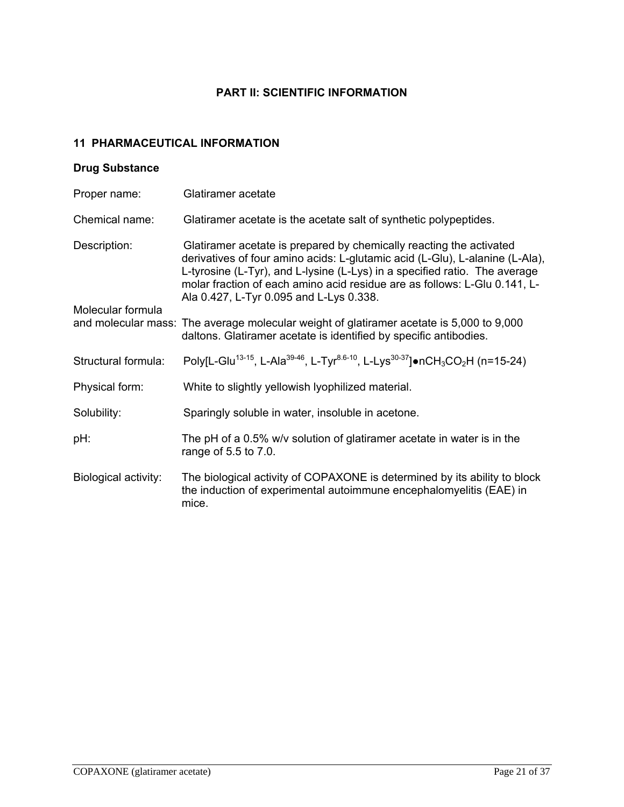## **PART II: SCIENTIFIC INFORMATION**

# **11 PHARMACEUTICAL INFORMATION**

## **Drug Substance**

| Proper name:         | Glatiramer acetate                                                                                                                                                                                                                                                                                                                                        |
|----------------------|-----------------------------------------------------------------------------------------------------------------------------------------------------------------------------------------------------------------------------------------------------------------------------------------------------------------------------------------------------------|
| Chemical name:       | Glatiramer acetate is the acetate salt of synthetic polypeptides.                                                                                                                                                                                                                                                                                         |
| Description:         | Glatiramer acetate is prepared by chemically reacting the activated<br>derivatives of four amino acids: L-glutamic acid (L-Glu), L-alanine (L-Ala),<br>L-tyrosine (L-Tyr), and L-lysine (L-Lys) in a specified ratio. The average<br>molar fraction of each amino acid residue are as follows: L-Glu 0.141, L-<br>Ala 0.427, L-Tyr 0.095 and L-Lys 0.338. |
| Molecular formula    | and molecular mass: The average molecular weight of glatiramer acetate is 5,000 to 9,000<br>daltons. Glatiramer acetate is identified by specific antibodies.                                                                                                                                                                                             |
| Structural formula:  | Poly[L-Glu <sup>13-15</sup> , L-Ala <sup>39-46</sup> , L-Tyr <sup>8.6-10</sup> , L-Lys <sup>30-37</sup> ]•nCH <sub>3</sub> CO <sub>2</sub> H (n=15-24)                                                                                                                                                                                                    |
| Physical form:       | White to slightly yellowish lyophilized material.                                                                                                                                                                                                                                                                                                         |
| Solubility:          | Sparingly soluble in water, insoluble in acetone.                                                                                                                                                                                                                                                                                                         |
| pH:                  | The pH of a $0.5\%$ w/v solution of glatiramer acetate in water is in the<br>range of 5.5 to 7.0.                                                                                                                                                                                                                                                         |
| Biological activity: | The biological activity of COPAXONE is determined by its ability to block<br>the induction of experimental autoimmune encephalomyelitis (EAE) in<br>mice.                                                                                                                                                                                                 |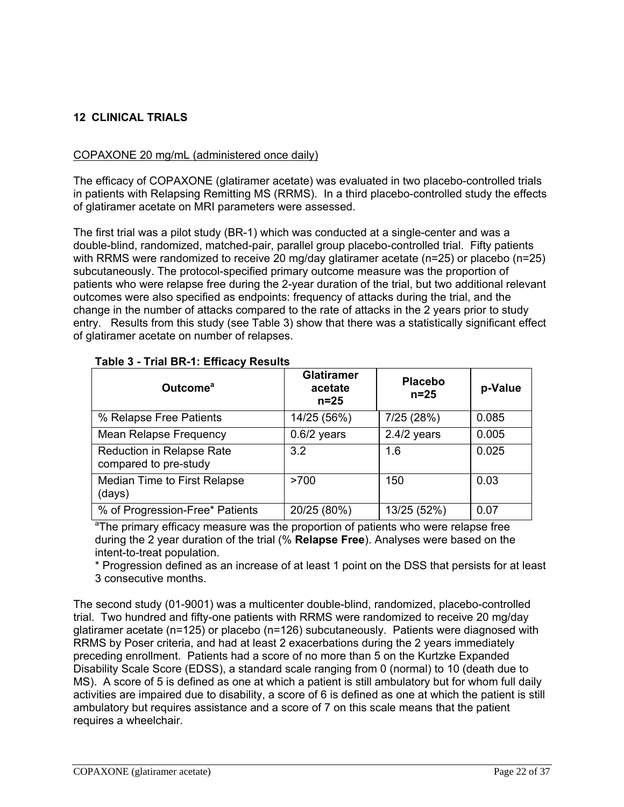## **12 CLINICAL TRIALS**

## COPAXONE 20 mg/mL (administered once daily)

The efficacy of COPAXONE (glatiramer acetate) was evaluated in two placebo-controlled trials in patients with Relapsing Remitting MS (RRMS). In a third placebo-controlled study the effects of glatiramer acetate on MRI parameters were assessed.

The first trial was a pilot study (BR-1) which was conducted at a single-center and was a double-blind, randomized, matched-pair, parallel group placebo-controlled trial. Fifty patients with RRMS were randomized to receive 20 mg/day glatiramer acetate (n=25) or placebo (n=25) subcutaneously. The protocol-specified primary outcome measure was the proportion of patients who were relapse free during the 2-year duration of the trial, but two additional relevant outcomes were also specified as endpoints: frequency of attacks during the trial, and the change in the number of attacks compared to the rate of attacks in the 2 years prior to study entry. Results from this study (see Table 3) show that there was a statistically significant effect of glatiramer acetate on number of relapses.

| Outcome <sup>a</sup>                                      | <b>Glatiramer</b><br>acetate<br>$n=25$ | <b>Placebo</b><br>$n=25$ | p-Value |
|-----------------------------------------------------------|----------------------------------------|--------------------------|---------|
| % Relapse Free Patients                                   | 14/25 (56%)                            | 7/25 (28%)               | 0.085   |
| <b>Mean Relapse Frequency</b>                             | $0.6/2$ years                          | $2.4/2$ years            | 0.005   |
| <b>Reduction in Relapse Rate</b><br>compared to pre-study | 3.2                                    | 1.6                      | 0.025   |
| Median Time to First Relapse<br>(days)                    | >700                                   | 150                      | 0.03    |
| % of Progression-Free* Patients                           | 20/25 (80%)                            | 13/25 (52%)              | 0.07    |

## **Table 3 - Trial BR-1: Efficacy Results**

<sup>a</sup>The primary efficacy measure was the proportion of patients who were relapse free during the 2 year duration of the trial (% **Relapse Free**). Analyses were based on the intent-to-treat population.

\* Progression defined as an increase of at least 1 point on the DSS that persists for at least 3 consecutive months.

The second study (01-9001) was a multicenter double-blind, randomized, placebo-controlled trial. Two hundred and fifty-one patients with RRMS were randomized to receive 20 mg/day glatiramer acetate (n=125) or placebo (n=126) subcutaneously. Patients were diagnosed with RRMS by Poser criteria, and had at least 2 exacerbations during the 2 years immediately preceding enrollment. Patients had a score of no more than 5 on the Kurtzke Expanded Disability Scale Score (EDSS), a standard scale ranging from 0 (normal) to 10 (death due to MS). A score of 5 is defined as one at which a patient is still ambulatory but for whom full daily activities are impaired due to disability, a score of 6 is defined as one at which the patient is still ambulatory but requires assistance and a score of 7 on this scale means that the patient requires a wheelchair.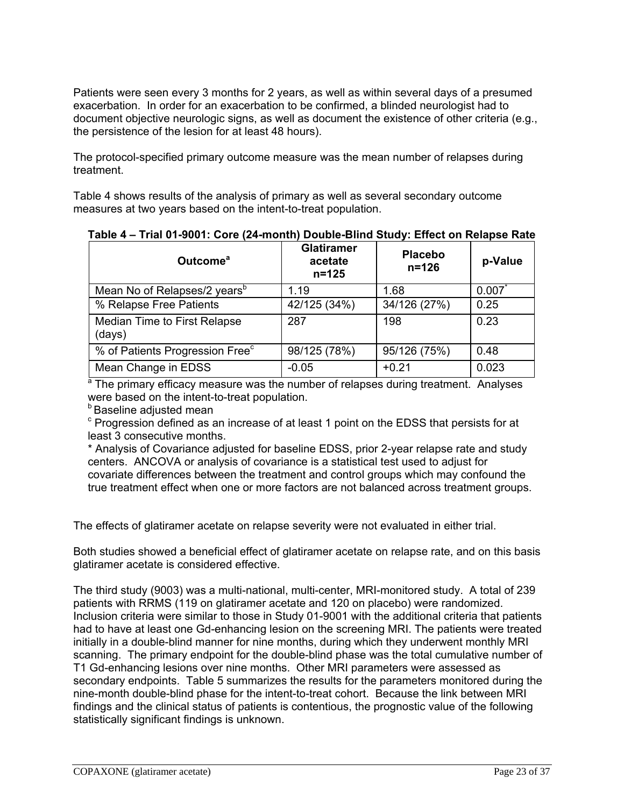Patients were seen every 3 months for 2 years, as well as within several days of a presumed exacerbation. In order for an exacerbation to be confirmed, a blinded neurologist had to document objective neurologic signs, as well as document the existence of other criteria (e.g., the persistence of the lesion for at least 48 hours).

The protocol-specified primary outcome measure was the mean number of relapses during treatment.

Table 4 shows results of the analysis of primary as well as several secondary outcome measures at two years based on the intent-to-treat population.

| Outcome <sup>a</sup>                        | <b>Glatiramer</b><br>acetate<br>$n = 125$ | <b>Placebo</b><br>$n = 126$ | p-Value |
|---------------------------------------------|-------------------------------------------|-----------------------------|---------|
| Mean No of Relapses/2 years <sup>b</sup>    | 1.19                                      | 1.68                        | 0.007   |
| % Relapse Free Patients                     | 42/125 (34%)                              | 34/126 (27%)                | 0.25    |
| Median Time to First Relapse<br>(days)      | 287                                       | 198                         | 0.23    |
| % of Patients Progression Free <sup>c</sup> | 98/125 (78%)                              | 95/126 (75%)                | 0.48    |
| Mean Change in EDSS                         | $-0.05$                                   | $+0.21$                     | 0.023   |

 **Table 4 – Trial 01-9001: Core (24-month) Double-Blind Study: Effect on Relapse Rate**

<sup>a</sup> The primary efficacy measure was the number of relapses during treatment. Analyses were based on the intent-to-treat population.

**b** Baseline adjusted mean

 $\textdegree$  Progression defined as an increase of at least 1 point on the EDSS that persists for at least 3 consecutive months.

\* Analysis of Covariance adjusted for baseline EDSS, prior 2-year relapse rate and study centers. ANCOVA or analysis of covariance is a statistical test used to adjust for covariate differences between the treatment and control groups which may confound the true treatment effect when one or more factors are not balanced across treatment groups.

The effects of glatiramer acetate on relapse severity were not evaluated in either trial.

Both studies showed a beneficial effect of glatiramer acetate on relapse rate, and on this basis glatiramer acetate is considered effective.

The third study (9003) was a multi-national, multi-center, MRI-monitored study. A total of 239 patients with RRMS (119 on glatiramer acetate and 120 on placebo) were randomized. Inclusion criteria were similar to those in Study 01-9001 with the additional criteria that patients had to have at least one Gd-enhancing lesion on the screening MRI. The patients were treated initially in a double-blind manner for nine months, during which they underwent monthly MRI scanning. The primary endpoint for the double-blind phase was the total cumulative number of T1 Gd-enhancing lesions over nine months. Other MRI parameters were assessed as secondary endpoints. Table 5 summarizes the results for the parameters monitored during the nine-month double-blind phase for the intent-to-treat cohort. Because the link between MRI findings and the clinical status of patients is contentious, the prognostic value of the following statistically significant findings is unknown.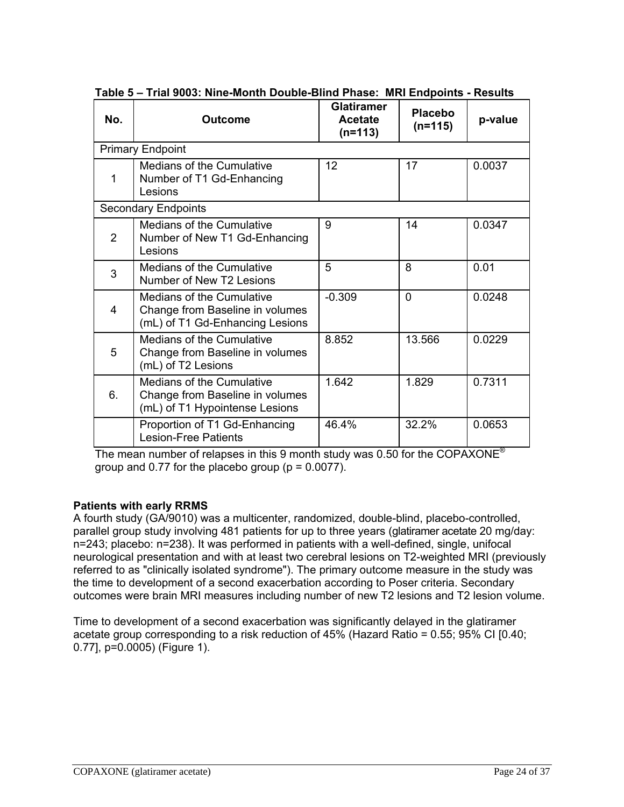| No.            | <b>Outcome</b>                                                                                        | <b>Glatiramer</b><br><b>Acetate</b><br>$(n=113)$ | <b>Placebo</b><br>$(n=115)$ | p-value |
|----------------|-------------------------------------------------------------------------------------------------------|--------------------------------------------------|-----------------------------|---------|
|                | <b>Primary Endpoint</b>                                                                               |                                                  |                             |         |
| 1              | Medians of the Cumulative<br>Number of T1 Gd-Enhancing<br>Lesions                                     | 12                                               | 17                          | 0.0037  |
|                | <b>Secondary Endpoints</b>                                                                            |                                                  |                             |         |
| $\overline{2}$ | <b>Medians of the Cumulative</b><br>Number of New T1 Gd-Enhancing<br>Lesions                          | 9                                                | 14                          | 0.0347  |
| 3              | Medians of the Cumulative<br>Number of New T2 Lesions                                                 | 5                                                | 8                           | 0.01    |
| 4              | Medians of the Cumulative<br>Change from Baseline in volumes<br>(mL) of T1 Gd-Enhancing Lesions       | $-0.309$                                         | $\Omega$                    | 0.0248  |
| 5              | <b>Medians of the Cumulative</b><br>Change from Baseline in volumes<br>(mL) of T2 Lesions             | 8.852                                            | 13.566                      | 0.0229  |
| 6.             | <b>Medians of the Cumulative</b><br>Change from Baseline in volumes<br>(mL) of T1 Hypointense Lesions | 1.642                                            | 1.829                       | 0.7311  |
|                | Proportion of T1 Gd-Enhancing<br><b>Lesion-Free Patients</b>                                          | 46.4%                                            | 32.2%                       | 0.0653  |

 **Table 5 – Trial 9003: Nine-Month Double-Blind Phase: MRI Endpoints - Results**

The mean number of relapses in this 9 month study was 0.50 for the COPAXONE® group and  $0.77$  for the placebo group ( $p = 0.0077$ ).

## **Patients with early RRMS**

A fourth study (GA/9010) was a multicenter, randomized, double-blind, placebo-controlled, parallel group study involving 481 patients for up to three years (glatiramer acetate 20 mg/day: n=243; placebo: n=238). It was performed in patients with a well-defined, single, unifocal neurological presentation and with at least two cerebral lesions on T2-weighted MRI (previously referred to as "clinically isolated syndrome"). The primary outcome measure in the study was the time to development of a second exacerbation according to Poser criteria. Secondary outcomes were brain MRI measures including number of new T2 lesions and T2 lesion volume.

Time to development of a second exacerbation was significantly delayed in the glatiramer acetate group corresponding to a risk reduction of 45% (Hazard Ratio = 0.55; 95% CI [0.40; 0.77], p=0.0005) (Figure 1).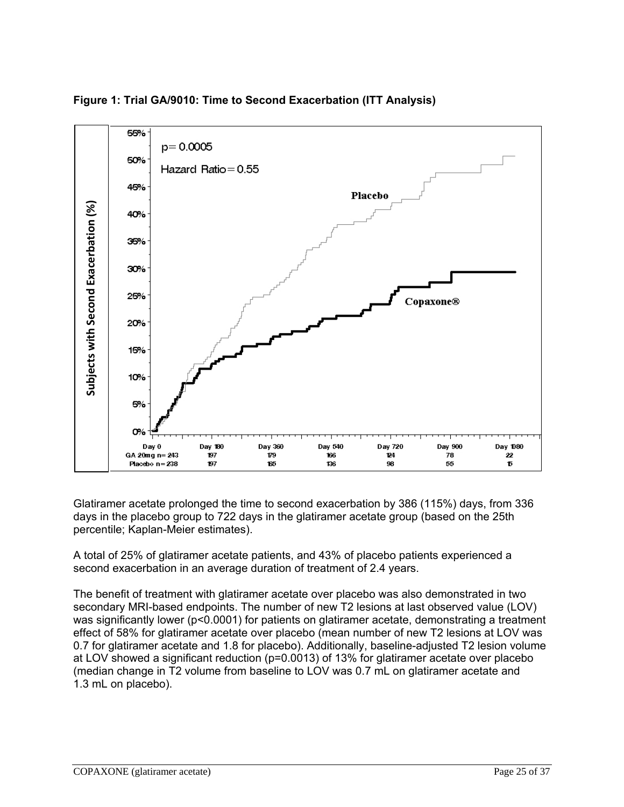

**Figure 1: Trial GA/9010: Time to Second Exacerbation (ITT Analysis)** 

Glatiramer acetate prolonged the time to second exacerbation by 386 (115%) days, from 336 days in the placebo group to 722 days in the glatiramer acetate group (based on the 25th percentile; Kaplan-Meier estimates).

A total of 25% of glatiramer acetate patients, and 43% of placebo patients experienced a second exacerbation in an average duration of treatment of 2.4 years.

The benefit of treatment with glatiramer acetate over placebo was also demonstrated in two secondary MRI-based endpoints. The number of new T2 lesions at last observed value (LOV) was significantly lower (p<0.0001) for patients on glatiramer acetate, demonstrating a treatment effect of 58% for glatiramer acetate over placebo (mean number of new T2 lesions at LOV was 0.7 for glatiramer acetate and 1.8 for placebo). Additionally, baseline-adjusted T2 lesion volume at LOV showed a significant reduction (p=0.0013) of 13% for glatiramer acetate over placebo (median change in T2 volume from baseline to LOV was 0.7 mL on glatiramer acetate and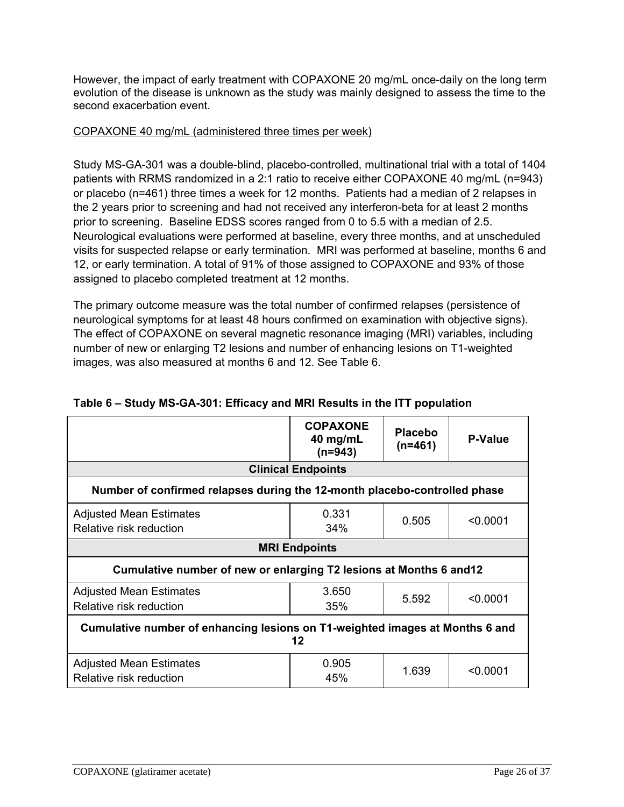However, the impact of early treatment with COPAXONE 20 mg/mL once-daily on the long term evolution of the disease is unknown as the study was mainly designed to assess the time to the second exacerbation event.

## COPAXONE 40 mg/mL (administered three times per week)

Study MS-GA-301 was a double-blind, placebo-controlled, multinational trial with a total of 1404 patients with RRMS randomized in a 2:1 ratio to receive either COPAXONE 40 mg/mL (n=943) or placebo (n=461) three times a week for 12 months. Patients had a median of 2 relapses in the 2 years prior to screening and had not received any interferon-beta for at least 2 months prior to screening. Baseline EDSS scores ranged from 0 to 5.5 with a median of 2.5. Neurological evaluations were performed at baseline, every three months, and at unscheduled visits for suspected relapse or early termination. MRI was performed at baseline, months 6 and 12, or early termination. A total of 91% of those assigned to COPAXONE and 93% of those assigned to placebo completed treatment at 12 months.

The primary outcome measure was the total number of confirmed relapses (persistence of neurological symptoms for at least 48 hours confirmed on examination with objective signs). The effect of COPAXONE on several magnetic resonance imaging (MRI) variables, including number of new or enlarging T2 lesions and number of enhancing lesions on T1-weighted images, was also measured at months 6 and 12. See Table 6.

|                                                                                    | <b>COPAXONE</b><br>40 mg/mL<br>$(n=943)$ | <b>Placebo</b><br>$(n=461)$ | <b>P-Value</b> |
|------------------------------------------------------------------------------------|------------------------------------------|-----------------------------|----------------|
|                                                                                    | <b>Clinical Endpoints</b>                |                             |                |
| Number of confirmed relapses during the 12-month placebo-controlled phase          |                                          |                             |                |
| <b>Adjusted Mean Estimates</b><br>Relative risk reduction                          | 0.331<br>34%                             | 0.505                       | < 0.0001       |
|                                                                                    | <b>MRI Endpoints</b>                     |                             |                |
| Cumulative number of new or enlarging T2 lesions at Months 6 and 12                |                                          |                             |                |
| <b>Adjusted Mean Estimates</b><br>Relative risk reduction                          | 3.650<br>35%                             | 5.592                       | < 0.0001       |
| Cumulative number of enhancing lesions on T1-weighted images at Months 6 and<br>12 |                                          |                             |                |
| <b>Adjusted Mean Estimates</b><br>Relative risk reduction                          | 0.905<br>45%                             | 1.639                       | < 0.0001       |

## **Table 6 – Study MS-GA-301: Efficacy and MRI Results in the ITT population**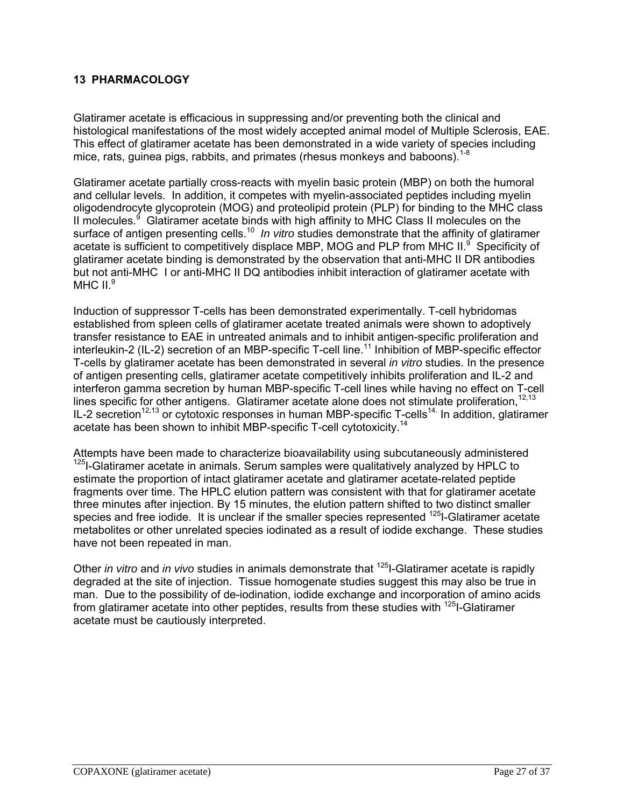## **13 PHARMACOLOGY**

Glatiramer acetate is efficacious in suppressing and/or preventing both the clinical and histological manifestations of the most widely accepted animal model of Multiple Sclerosis, EAE. This effect of glatiramer acetate has been demonstrated in a wide variety of species including mice, rats, guinea pigs, rabbits, and primates (rhesus monkeys and baboons).  $1-8$ 

Glatiramer acetate partially cross-reacts with myelin basic protein (MBP) on both the humoral and cellular levels. In addition, it competes with myelin-associated peptides including myelin oligodendrocyte glycoprotein (MOG) and proteolipid protein (PLP) for binding to the MHC class II molecules.<sup>9</sup> Glatiramer acetate binds with high affinity to MHC Class II molecules on the surface of antigen presenting cells.<sup>10</sup> In vitro studies demonstrate that the affinity of glatiramer acetate is sufficient to competitively displace MBP, MOG and PLP from MHC II.<sup>9</sup> Specificity of glatiramer acetate binding is demonstrated by the observation that anti-MHC II DR antibodies but not anti-MHC I or anti-MHC II DQ antibodies inhibit interaction of glatiramer acetate with MHC  $II.<sup>9</sup>$ 

Induction of suppressor T-cells has been demonstrated experimentally. T-cell hybridomas established from spleen cells of glatiramer acetate treated animals were shown to adoptively transfer resistance to EAE in untreated animals and to inhibit antigen-specific proliferation and interleukin-2 (IL-2) secretion of an MBP-specific T-cell line.<sup>11</sup> Inhibition of MBP-specific effector T-cells by glatiramer acetate has been demonstrated in several *in vitro* studies. In the presence of antigen presenting cells, glatiramer acetate competitively inhibits proliferation and IL-2 and interferon gamma secretion by human MBP-specific T-cell lines while having no effect on T-cell lines specific for other antigens. Glatiramer acetate alone does not stimulate proliferation,  $12,13$ IL-2 secretion<sup>12,13</sup> or cytotoxic responses in human MBP-specific T-cells<sup>14.</sup> In addition, glatiramer acetate has been shown to inhibit MBP-specific T-cell cytotoxicity.<sup>14</sup>

Attempts have been made to characterize bioavailability using subcutaneously administered <sup>125</sup>I-Glatiramer acetate in animals. Serum samples were qualitatively analyzed by HPLC to estimate the proportion of intact glatiramer acetate and glatiramer acetate-related peptide fragments over time. The HPLC elution pattern was consistent with that for glatiramer acetate three minutes after injection. By 15 minutes, the elution pattern shifted to two distinct smaller species and free iodide. It is unclear if the smaller species represented <sup>125</sup>I-Glatiramer acetate metabolites or other unrelated species iodinated as a result of iodide exchange. These studies have not been repeated in man.

Other *in vitro* and *in vivo* studies in animals demonstrate that 125I-Glatiramer acetate is rapidly degraded at the site of injection. Tissue homogenate studies suggest this may also be true in man. Due to the possibility of de-iodination, iodide exchange and incorporation of amino acids from glatiramer acetate into other peptides, results from these studies with  $125$ -Glatiramer acetate must be cautiously interpreted.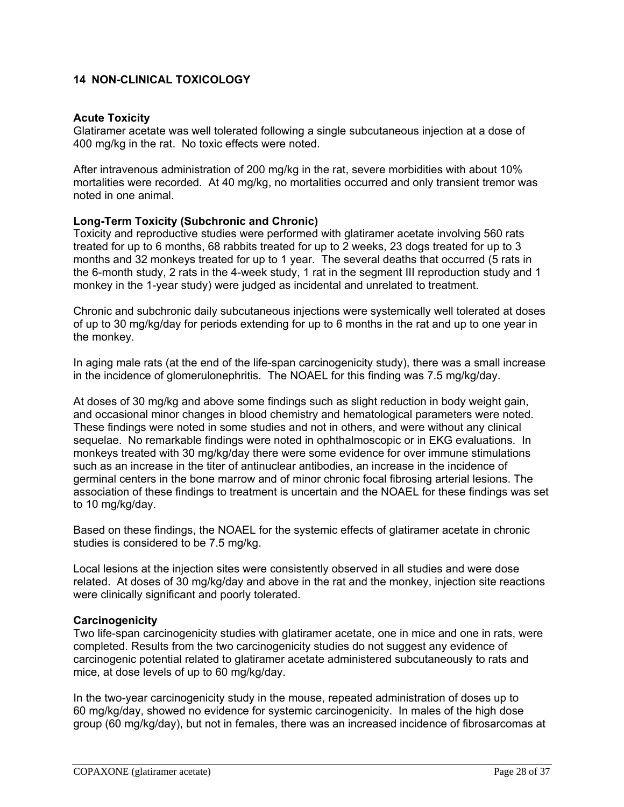## **14 NON-CLINICAL TOXICOLOGY**

#### **Acute Toxicity**

Glatiramer acetate was well tolerated following a single subcutaneous injection at a dose of 400 mg/kg in the rat. No toxic effects were noted.

After intravenous administration of 200 mg/kg in the rat, severe morbidities with about 10% mortalities were recorded. At 40 mg/kg, no mortalities occurred and only transient tremor was noted in one animal.

## **Long-Term Toxicity (Subchronic and Chronic)**

Toxicity and reproductive studies were performed with glatiramer acetate involving 560 rats treated for up to 6 months, 68 rabbits treated for up to 2 weeks, 23 dogs treated for up to 3 months and 32 monkeys treated for up to 1 year. The several deaths that occurred (5 rats in the 6-month study, 2 rats in the 4-week study, 1 rat in the segment III reproduction study and 1 monkey in the 1-year study) were judged as incidental and unrelated to treatment.

Chronic and subchronic daily subcutaneous injections were systemically well tolerated at doses of up to 30 mg/kg/day for periods extending for up to 6 months in the rat and up to one year in the monkey.

In aging male rats (at the end of the life-span carcinogenicity study), there was a small increase in the incidence of glomerulonephritis. The NOAEL for this finding was 7.5 mg/kg/day.

At doses of 30 mg/kg and above some findings such as slight reduction in body weight gain, and occasional minor changes in blood chemistry and hematological parameters were noted. These findings were noted in some studies and not in others, and were without any clinical sequelae. No remarkable findings were noted in ophthalmoscopic or in EKG evaluations. In monkeys treated with 30 mg/kg/day there were some evidence for over immune stimulations such as an increase in the titer of antinuclear antibodies, an increase in the incidence of germinal centers in the bone marrow and of minor chronic focal fibrosing arterial lesions. The association of these findings to treatment is uncertain and the NOAEL for these findings was set to 10 mg/kg/day.

Based on these findings, the NOAEL for the systemic effects of glatiramer acetate in chronic studies is considered to be 7.5 mg/kg.

Local lesions at the injection sites were consistently observed in all studies and were dose related. At doses of 30 mg/kg/day and above in the rat and the monkey, injection site reactions were clinically significant and poorly tolerated.

#### **Carcinogenicity**

Two life-span carcinogenicity studies with glatiramer acetate, one in mice and one in rats, were completed. Results from the two carcinogenicity studies do not suggest any evidence of carcinogenic potential related to glatiramer acetate administered subcutaneously to rats and mice, at dose levels of up to 60 mg/kg/day.

In the two-year carcinogenicity study in the mouse, repeated administration of doses up to 60 mg/kg/day, showed no evidence for systemic carcinogenicity. In males of the high dose group (60 mg/kg/day), but not in females, there was an increased incidence of fibrosarcomas at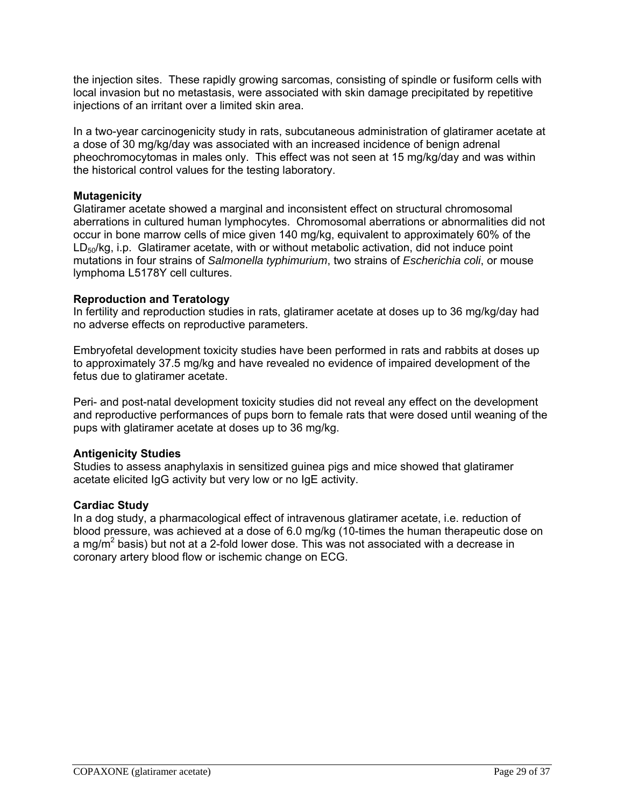the injection sites. These rapidly growing sarcomas, consisting of spindle or fusiform cells with local invasion but no metastasis, were associated with skin damage precipitated by repetitive injections of an irritant over a limited skin area.

In a two-year carcinogenicity study in rats, subcutaneous administration of glatiramer acetate at a dose of 30 mg/kg/day was associated with an increased incidence of benign adrenal pheochromocytomas in males only. This effect was not seen at 15 mg/kg/day and was within the historical control values for the testing laboratory.

## **Mutagenicity**

Glatiramer acetate showed a marginal and inconsistent effect on structural chromosomal aberrations in cultured human lymphocytes. Chromosomal aberrations or abnormalities did not occur in bone marrow cells of mice given 140 mg/kg, equivalent to approximately 60% of the LD50/kg, i.p. Glatiramer acetate, with or without metabolic activation, did not induce point mutations in four strains of *Salmonella typhimurium*, two strains of *Escherichia coli*, or mouse lymphoma L5178Y cell cultures.

## **Reproduction and Teratology**

In fertility and reproduction studies in rats, glatiramer acetate at doses up to 36 mg/kg/day had no adverse effects on reproductive parameters.

Embryofetal development toxicity studies have been performed in rats and rabbits at doses up to approximately 37.5 mg/kg and have revealed no evidence of impaired development of the fetus due to glatiramer acetate.

Peri- and post-natal development toxicity studies did not reveal any effect on the development and reproductive performances of pups born to female rats that were dosed until weaning of the pups with glatiramer acetate at doses up to 36 mg/kg.

## **Antigenicity Studies**

Studies to assess anaphylaxis in sensitized guinea pigs and mice showed that glatiramer acetate elicited IgG activity but very low or no IgE activity.

#### **Cardiac Study**

In a dog study, a pharmacological effect of intravenous glatiramer acetate, i.e. reduction of blood pressure, was achieved at a dose of 6.0 mg/kg (10-times the human therapeutic dose on a mg/m<sup>2</sup> basis) but not at a 2-fold lower dose. This was not associated with a decrease in coronary artery blood flow or ischemic change on ECG.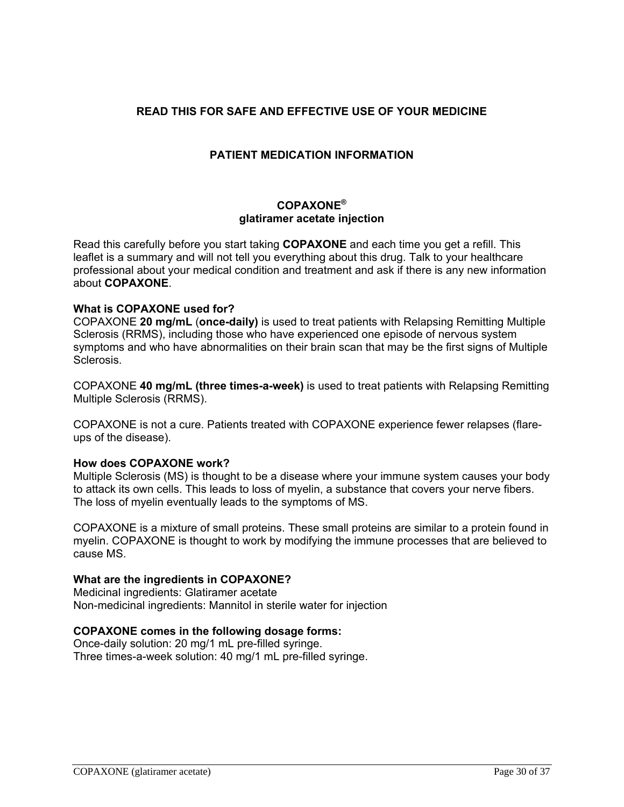## **READ THIS FOR SAFE AND EFFECTIVE USE OF YOUR MEDICINE**

## **PATIENT MEDICATION INFORMATION**

## **COPAXONE® glatiramer acetate injection**

Read this carefully before you start taking **COPAXONE** and each time you get a refill. This leaflet is a summary and will not tell you everything about this drug. Talk to your healthcare professional about your medical condition and treatment and ask if there is any new information about **COPAXONE**.

### **What is COPAXONE used for?**

COPAXONE **20 mg/mL** (**once-daily)** is used to treat patients with Relapsing Remitting Multiple Sclerosis (RRMS), including those who have experienced one episode of nervous system symptoms and who have abnormalities on their brain scan that may be the first signs of Multiple Sclerosis.

COPAXONE **40 mg/mL (three times-a-week)** is used to treat patients with Relapsing Remitting Multiple Sclerosis (RRMS).

COPAXONE is not a cure. Patients treated with COPAXONE experience fewer relapses (flareups of the disease).

#### **How does COPAXONE work?**

Multiple Sclerosis (MS) is thought to be a disease where your immune system causes your body to attack its own cells. This leads to loss of myelin, a substance that covers your nerve fibers. The loss of myelin eventually leads to the symptoms of MS.

COPAXONE is a mixture of small proteins. These small proteins are similar to a protein found in myelin. COPAXONE is thought to work by modifying the immune processes that are believed to cause MS.

### **What are the ingredients in COPAXONE?**

Medicinal ingredients: Glatiramer acetate Non-medicinal ingredients: Mannitol in sterile water for injection

#### **COPAXONE comes in the following dosage forms:**

Once-daily solution: 20 mg/1 mL pre-filled syringe. Three times-a-week solution: 40 mg/1 mL pre-filled syringe.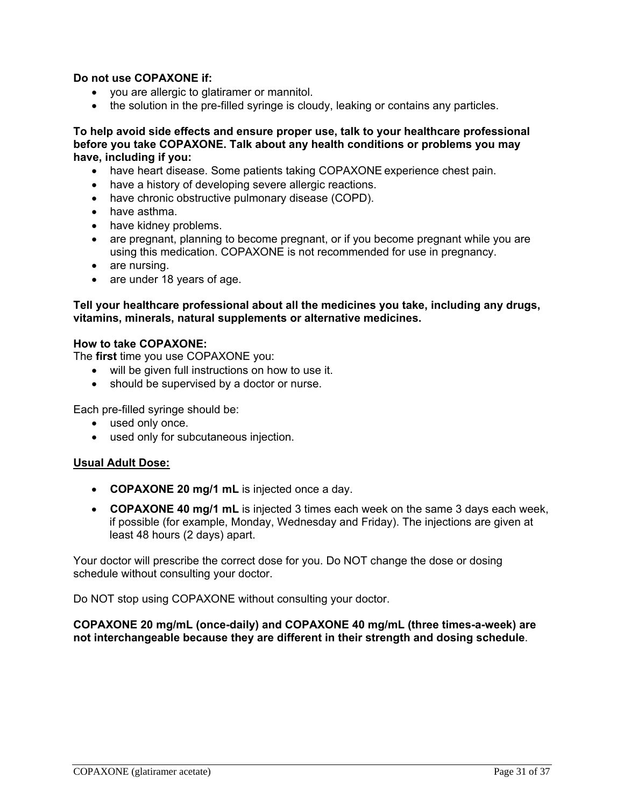## **Do not use COPAXONE if:**

- you are allergic to glatiramer or mannitol.
- the solution in the pre-filled syringe is cloudy, leaking or contains any particles.

**To help avoid side effects and ensure proper use, talk to your healthcare professional before you take COPAXONE. Talk about any health conditions or problems you may have, including if you:** 

- have heart disease. Some patients taking COPAXONE experience chest pain.
- have a history of developing severe allergic reactions.
- have chronic obstructive pulmonary disease (COPD).
- have asthma.
- have kidney problems.
- are pregnant, planning to become pregnant, or if you become pregnant while you are using this medication. COPAXONE is not recommended for use in pregnancy.
- are nursing.
- are under 18 years of age.

**Tell your healthcare professional about all the medicines you take, including any drugs, vitamins, minerals, natural supplements or alternative medicines.**

#### **How to take COPAXONE:**

The **first** time you use COPAXONE you:

- will be given full instructions on how to use it.
- should be supervised by a doctor or nurse.

Each pre-filled syringe should be:

- used only once.
- used only for subcutaneous injection.

## **Usual Adult Dose:**

- **COPAXONE 20 mg/1 mL** is injected once a day.
- **COPAXONE 40 mg/1 mL** is injected 3 times each week on the same 3 days each week, if possible (for example, Monday, Wednesday and Friday). The injections are given at least 48 hours (2 days) apart.

Your doctor will prescribe the correct dose for you. Do NOT change the dose or dosing schedule without consulting your doctor.

Do NOT stop using COPAXONE without consulting your doctor.

## **COPAXONE 20 mg/mL (once-daily) and COPAXONE 40 mg/mL (three times-a-week) are not interchangeable because they are different in their strength and dosing schedule**.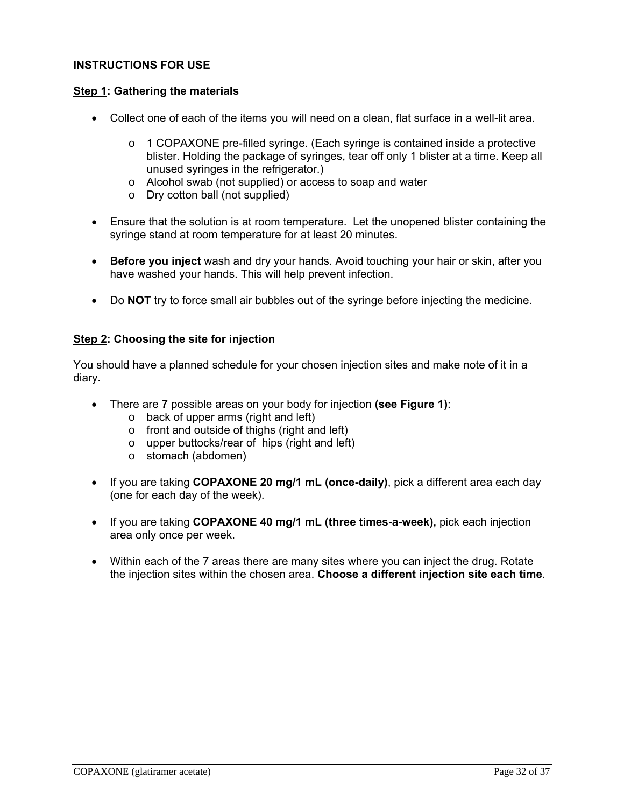### **INSTRUCTIONS FOR USE**

### **Step 1: Gathering the materials**

- Collect one of each of the items you will need on a clean, flat surface in a well-lit area.
	- o 1 COPAXONE pre-filled syringe. (Each syringe is contained inside a protective blister. Holding the package of syringes, tear off only 1 blister at a time. Keep all unused syringes in the refrigerator.)
	- o Alcohol swab (not supplied) or access to soap and water
	- o Dry cotton ball (not supplied)
- Ensure that the solution is at room temperature. Let the unopened blister containing the syringe stand at room temperature for at least 20 minutes.
- **Before you inject** wash and dry your hands. Avoid touching your hair or skin, after you have washed your hands. This will help prevent infection.
- Do **NOT** try to force small air bubbles out of the syringe before injecting the medicine.

## **Step 2: Choosing the site for injection**

You should have a planned schedule for your chosen injection sites and make note of it in a diary.

- There are **7** possible areas on your body for injection **(see Figure 1)**:
	- o back of upper arms (right and left)
	- o front and outside of thighs (right and left)
	- o upper buttocks/rear of hips (right and left)
	- o stomach (abdomen)
- If you are taking **COPAXONE 20 mg/1 mL (once-daily)**, pick a different area each day (one for each day of the week).
- If you are taking **COPAXONE 40 mg/1 mL (three times-a-week),** pick each injection area only once per week.
- Within each of the 7 areas there are many sites where you can inject the drug. Rotate the injection sites within the chosen area. **Choose a different injection site each time**.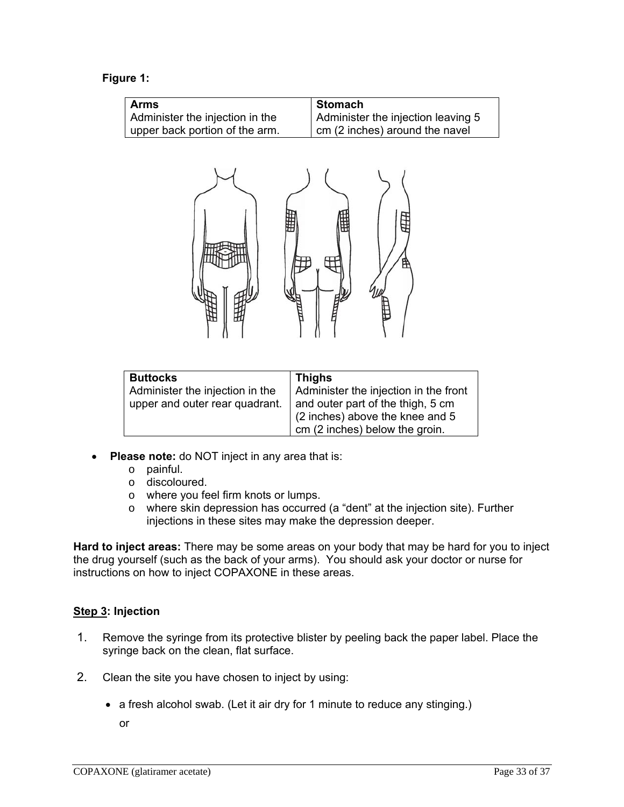## **Figure 1:**

| <b>Arms</b>                     | <b>Stomach</b>                     |
|---------------------------------|------------------------------------|
| Administer the injection in the | Administer the injection leaving 5 |
| upper back portion of the arm.  | cm (2 inches) around the navel     |
|                                 | Ħ                                  |

| <b>Buttocks</b>                 | <b>Thighs</b>                         |  |  |
|---------------------------------|---------------------------------------|--|--|
| Administer the injection in the | Administer the injection in the front |  |  |
| upper and outer rear quadrant.  | and outer part of the thigh, 5 cm     |  |  |
|                                 | (2 inches) above the knee and 5       |  |  |
|                                 | cm (2 inches) below the groin.        |  |  |

- **Please note:** do NOT inject in any area that is:
	- o painful.
	- o discoloured.
	- o where you feel firm knots or lumps.
	- o where skin depression has occurred (a "dent" at the injection site). Further injections in these sites may make the depression deeper.

**Hard to inject areas:** There may be some areas on your body that may be hard for you to inject the drug yourself (such as the back of your arms). You should ask your doctor or nurse for instructions on how to inject COPAXONE in these areas.

## **Step 3: Injection**

- 1. Remove the syringe from its protective blister by peeling back the paper label. Place the syringe back on the clean, flat surface.
- 2. Clean the site you have chosen to inject by using:
	- a fresh alcohol swab. (Let it air dry for 1 minute to reduce any stinging.)

or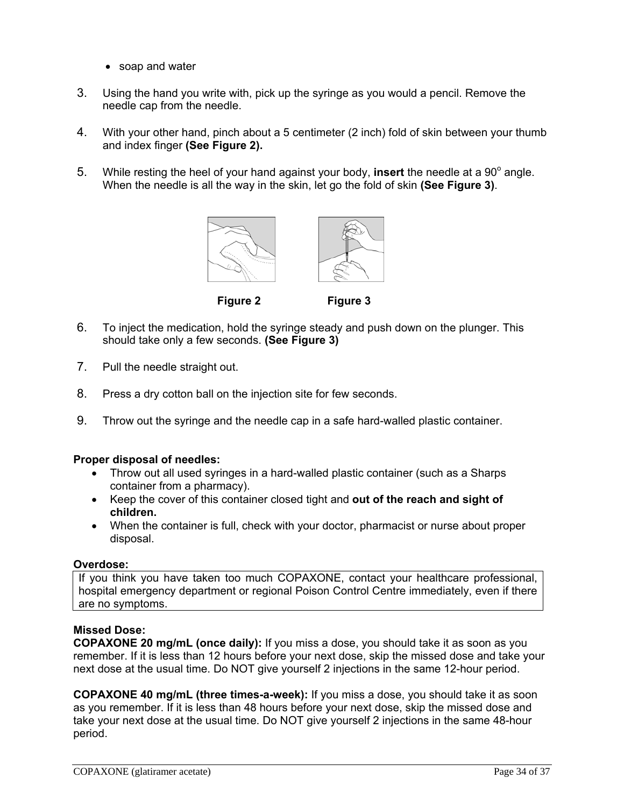- soap and water
- 3. Using the hand you write with, pick up the syringe as you would a pencil. Remove the needle cap from the needle.
- 4. With your other hand, pinch about a 5 centimeter (2 inch) fold of skin between your thumb and index finger **(See Figure 2).**
- 5. While resting the heel of your hand against your body, insert the needle at a 90° angle. When the needle is all the way in the skin, let go the fold of skin **(See Figure 3)**.





 **Figure 2 Figure 3**

- 6. To inject the medication, hold the syringe steady and push down on the plunger. This should take only a few seconds. **(See Figure 3)**
- 7. Pull the needle straight out.
- 8. Press a dry cotton ball on the injection site for few seconds.
- 9. Throw out the syringe and the needle cap in a safe hard-walled plastic container.

## **Proper disposal of needles:**

- Throw out all used syringes in a hard-walled plastic container (such as a Sharps container from a pharmacy).
- Keep the cover of this container closed tight and **out of the reach and sight of children.**
- When the container is full, check with your doctor, pharmacist or nurse about proper disposal.

## **Overdose:**

If you think you have taken too much COPAXONE, contact your healthcare professional, hospital emergency department or regional Poison Control Centre immediately, even if there are no symptoms.

## **Missed Dose:**

**COPAXONE 20 mg/mL (once daily):** If you miss a dose, you should take it as soon as you remember. If it is less than 12 hours before your next dose, skip the missed dose and take your next dose at the usual time. Do NOT give yourself 2 injections in the same 12-hour period.

**COPAXONE 40 mg/mL (three times-a-week):** If you miss a dose, you should take it as soon as you remember. If it is less than 48 hours before your next dose, skip the missed dose and take your next dose at the usual time. Do NOT give yourself 2 injections in the same 48-hour period.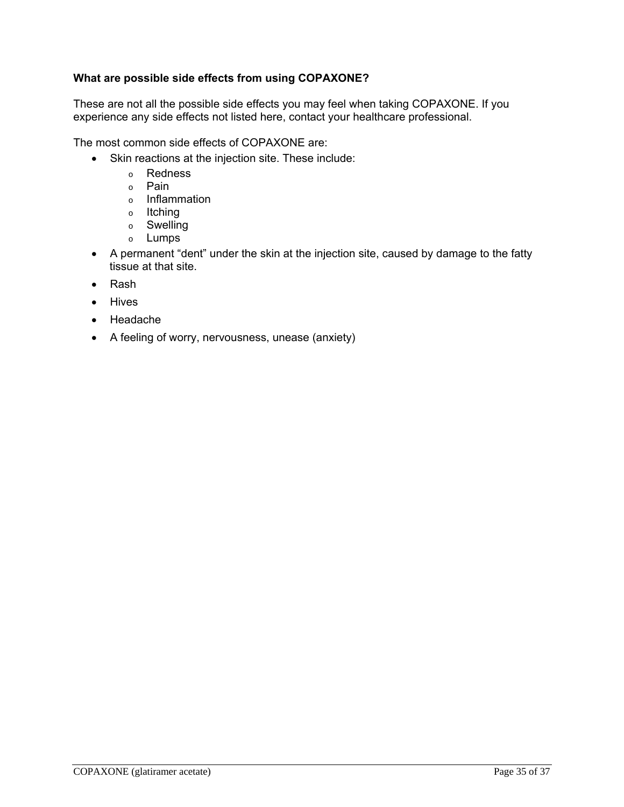## **What are possible side effects from using COPAXONE?**

These are not all the possible side effects you may feel when taking COPAXONE. If you experience any side effects not listed here, contact your healthcare professional.

The most common side effects of COPAXONE are:

- Skin reactions at the injection site. These include:
	- o Redness
	- o Pain
	- o Inflammation
	- o Itching
	- o Swelling
	- o Lumps
- A permanent "dent" under the skin at the injection site, caused by damage to the fatty tissue at that site.
- Rash
- Hives
- Headache
- A feeling of worry, nervousness, unease (anxiety)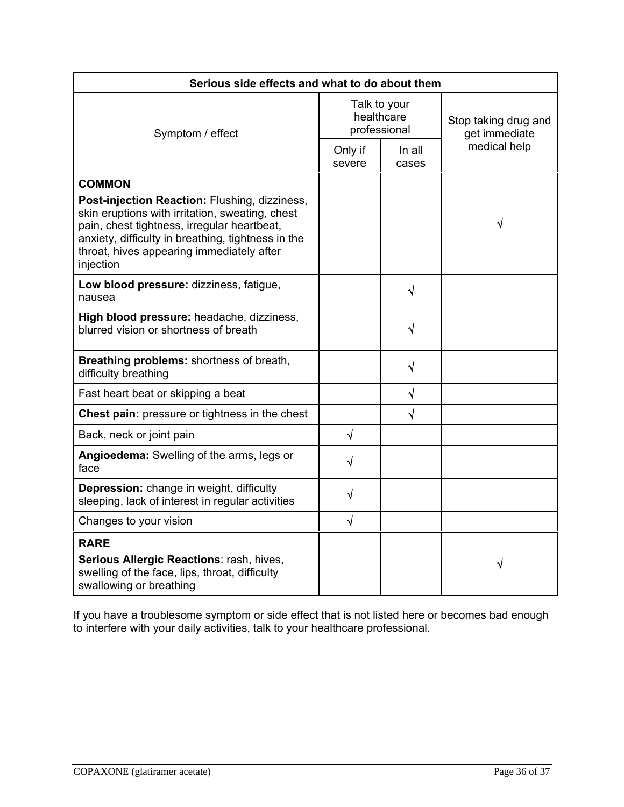| Serious side effects and what to do about them                                                                                                                                                                                                                  |                                            |                 |                                       |  |
|-----------------------------------------------------------------------------------------------------------------------------------------------------------------------------------------------------------------------------------------------------------------|--------------------------------------------|-----------------|---------------------------------------|--|
| Symptom / effect                                                                                                                                                                                                                                                | Talk to your<br>healthcare<br>professional |                 | Stop taking drug and<br>get immediate |  |
|                                                                                                                                                                                                                                                                 | Only if<br>severe                          | In all<br>cases | medical help                          |  |
| <b>COMMON</b>                                                                                                                                                                                                                                                   |                                            |                 |                                       |  |
| Post-injection Reaction: Flushing, dizziness,<br>skin eruptions with irritation, sweating, chest<br>pain, chest tightness, irregular heartbeat,<br>anxiety, difficulty in breathing, tightness in the<br>throat, hives appearing immediately after<br>injection |                                            |                 | √                                     |  |
| Low blood pressure: dizziness, fatigue,<br>nausea                                                                                                                                                                                                               |                                            | √               |                                       |  |
| High blood pressure: headache, dizziness,<br>blurred vision or shortness of breath                                                                                                                                                                              |                                            | $\sqrt{}$       |                                       |  |
| Breathing problems: shortness of breath,<br>difficulty breathing                                                                                                                                                                                                |                                            | $\sqrt{}$       |                                       |  |
| Fast heart beat or skipping a beat                                                                                                                                                                                                                              |                                            | $\sqrt{ }$      |                                       |  |
| Chest pain: pressure or tightness in the chest                                                                                                                                                                                                                  |                                            | $\sqrt{ }$      |                                       |  |
| Back, neck or joint pain                                                                                                                                                                                                                                        | $\sqrt{ }$                                 |                 |                                       |  |
| Angioedema: Swelling of the arms, legs or<br>face                                                                                                                                                                                                               | √                                          |                 |                                       |  |
| Depression: change in weight, difficulty<br>sleeping, lack of interest in regular activities                                                                                                                                                                    | $\sqrt{}$                                  |                 |                                       |  |
| Changes to your vision                                                                                                                                                                                                                                          | $\sqrt{ }$                                 |                 |                                       |  |
| <b>RARE</b>                                                                                                                                                                                                                                                     |                                            |                 |                                       |  |
| Serious Allergic Reactions: rash, hives,<br>swelling of the face, lips, throat, difficulty<br>swallowing or breathing                                                                                                                                           |                                            |                 | √                                     |  |

If you have a troublesome symptom or side effect that is not listed here or becomes bad enough to interfere with your daily activities, talk to your healthcare professional.